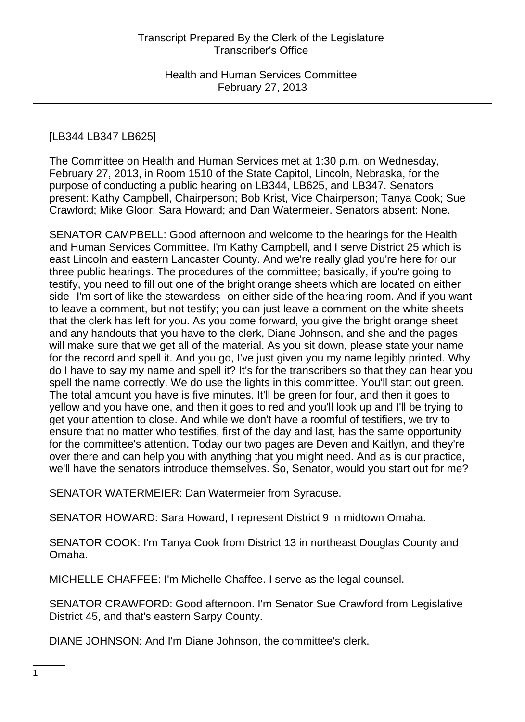### [LB344 LB347 LB625]

The Committee on Health and Human Services met at 1:30 p.m. on Wednesday, February 27, 2013, in Room 1510 of the State Capitol, Lincoln, Nebraska, for the purpose of conducting a public hearing on LB344, LB625, and LB347. Senators present: Kathy Campbell, Chairperson; Bob Krist, Vice Chairperson; Tanya Cook; Sue Crawford; Mike Gloor; Sara Howard; and Dan Watermeier. Senators absent: None.

SENATOR CAMPBELL: Good afternoon and welcome to the hearings for the Health and Human Services Committee. I'm Kathy Campbell, and I serve District 25 which is east Lincoln and eastern Lancaster County. And we're really glad you're here for our three public hearings. The procedures of the committee; basically, if you're going to testify, you need to fill out one of the bright orange sheets which are located on either side--I'm sort of like the stewardess--on either side of the hearing room. And if you want to leave a comment, but not testify; you can just leave a comment on the white sheets that the clerk has left for you. As you come forward, you give the bright orange sheet and any handouts that you have to the clerk, Diane Johnson, and she and the pages will make sure that we get all of the material. As you sit down, please state your name for the record and spell it. And you go, I've just given you my name legibly printed. Why do I have to say my name and spell it? It's for the transcribers so that they can hear you spell the name correctly. We do use the lights in this committee. You'll start out green. The total amount you have is five minutes. It'll be green for four, and then it goes to yellow and you have one, and then it goes to red and you'll look up and I'll be trying to get your attention to close. And while we don't have a roomful of testifiers, we try to ensure that no matter who testifies, first of the day and last, has the same opportunity for the committee's attention. Today our two pages are Deven and Kaitlyn, and they're over there and can help you with anything that you might need. And as is our practice, we'll have the senators introduce themselves. So, Senator, would you start out for me?

SENATOR WATERMEIER: Dan Watermeier from Syracuse.

SENATOR HOWARD: Sara Howard, I represent District 9 in midtown Omaha.

SENATOR COOK: I'm Tanya Cook from District 13 in northeast Douglas County and Omaha.

MICHELLE CHAFFEE: I'm Michelle Chaffee. I serve as the legal counsel.

SENATOR CRAWFORD: Good afternoon. I'm Senator Sue Crawford from Legislative District 45, and that's eastern Sarpy County.

DIANE JOHNSON: And I'm Diane Johnson, the committee's clerk.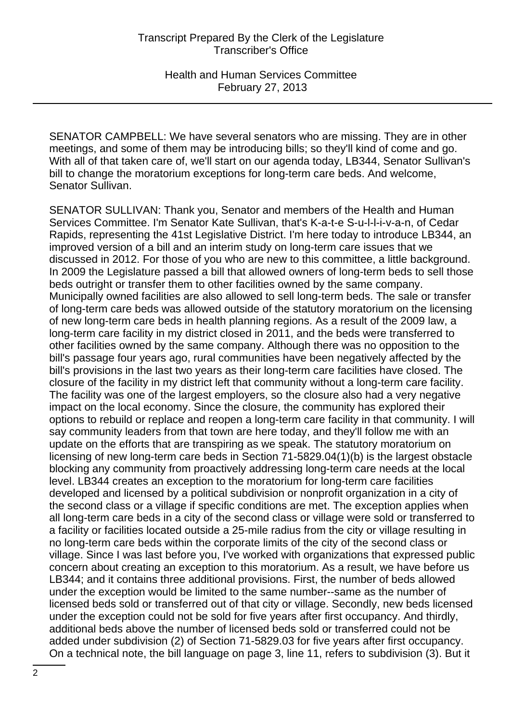SENATOR CAMPBELL: We have several senators who are missing. They are in other meetings, and some of them may be introducing bills; so they'll kind of come and go. With all of that taken care of, we'll start on our agenda today, LB344, Senator Sullivan's bill to change the moratorium exceptions for long-term care beds. And welcome, Senator Sullivan.

SENATOR SULLIVAN: Thank you, Senator and members of the Health and Human Services Committee. I'm Senator Kate Sullivan, that's K-a-t-e S-u-l-l-i-v-a-n, of Cedar Rapids, representing the 41st Legislative District. I'm here today to introduce LB344, an improved version of a bill and an interim study on long-term care issues that we discussed in 2012. For those of you who are new to this committee, a little background. In 2009 the Legislature passed a bill that allowed owners of long-term beds to sell those beds outright or transfer them to other facilities owned by the same company. Municipally owned facilities are also allowed to sell long-term beds. The sale or transfer of long-term care beds was allowed outside of the statutory moratorium on the licensing of new long-term care beds in health planning regions. As a result of the 2009 law, a long-term care facility in my district closed in 2011, and the beds were transferred to other facilities owned by the same company. Although there was no opposition to the bill's passage four years ago, rural communities have been negatively affected by the bill's provisions in the last two years as their long-term care facilities have closed. The closure of the facility in my district left that community without a long-term care facility. The facility was one of the largest employers, so the closure also had a very negative impact on the local economy. Since the closure, the community has explored their options to rebuild or replace and reopen a long-term care facility in that community. I will say community leaders from that town are here today, and they'll follow me with an update on the efforts that are transpiring as we speak. The statutory moratorium on licensing of new long-term care beds in Section 71-5829.04(1)(b) is the largest obstacle blocking any community from proactively addressing long-term care needs at the local level. LB344 creates an exception to the moratorium for long-term care facilities developed and licensed by a political subdivision or nonprofit organization in a city of the second class or a village if specific conditions are met. The exception applies when all long-term care beds in a city of the second class or village were sold or transferred to a facility or facilities located outside a 25-mile radius from the city or village resulting in no long-term care beds within the corporate limits of the city of the second class or village. Since I was last before you, I've worked with organizations that expressed public concern about creating an exception to this moratorium. As a result, we have before us LB344; and it contains three additional provisions. First, the number of beds allowed under the exception would be limited to the same number--same as the number of licensed beds sold or transferred out of that city or village. Secondly, new beds licensed under the exception could not be sold for five years after first occupancy. And thirdly, additional beds above the number of licensed beds sold or transferred could not be added under subdivision (2) of Section 71-5829.03 for five years after first occupancy. On a technical note, the bill language on page 3, line 11, refers to subdivision (3). But it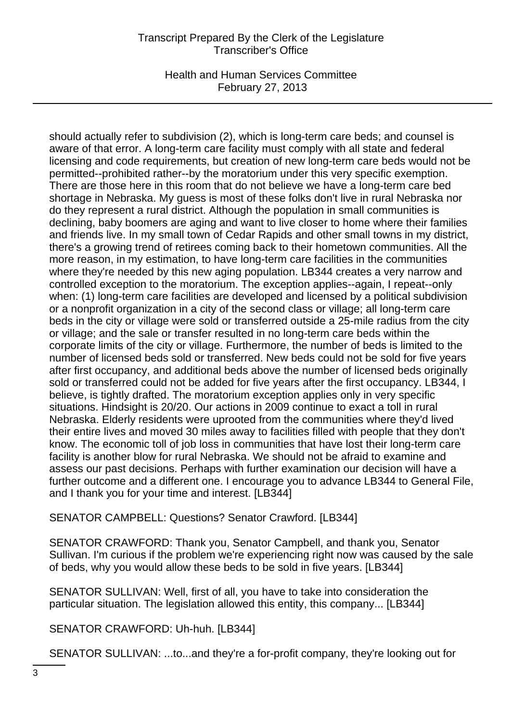Health and Human Services Committee February 27, 2013

should actually refer to subdivision (2), which is long-term care beds; and counsel is aware of that error. A long-term care facility must comply with all state and federal licensing and code requirements, but creation of new long-term care beds would not be permitted--prohibited rather--by the moratorium under this very specific exemption. There are those here in this room that do not believe we have a long-term care bed shortage in Nebraska. My guess is most of these folks don't live in rural Nebraska nor do they represent a rural district. Although the population in small communities is declining, baby boomers are aging and want to live closer to home where their families and friends live. In my small town of Cedar Rapids and other small towns in my district, there's a growing trend of retirees coming back to their hometown communities. All the more reason, in my estimation, to have long-term care facilities in the communities where they're needed by this new aging population. LB344 creates a very narrow and controlled exception to the moratorium. The exception applies--again, I repeat--only when: (1) long-term care facilities are developed and licensed by a political subdivision or a nonprofit organization in a city of the second class or village; all long-term care beds in the city or village were sold or transferred outside a 25-mile radius from the city or village; and the sale or transfer resulted in no long-term care beds within the corporate limits of the city or village. Furthermore, the number of beds is limited to the number of licensed beds sold or transferred. New beds could not be sold for five years after first occupancy, and additional beds above the number of licensed beds originally sold or transferred could not be added for five years after the first occupancy. LB344, I believe, is tightly drafted. The moratorium exception applies only in very specific situations. Hindsight is 20/20. Our actions in 2009 continue to exact a toll in rural Nebraska. Elderly residents were uprooted from the communities where they'd lived their entire lives and moved 30 miles away to facilities filled with people that they don't know. The economic toll of job loss in communities that have lost their long-term care facility is another blow for rural Nebraska. We should not be afraid to examine and assess our past decisions. Perhaps with further examination our decision will have a further outcome and a different one. I encourage you to advance LB344 to General File, and I thank you for your time and interest. [LB344]

SENATOR CAMPBELL: Questions? Senator Crawford. [LB344]

SENATOR CRAWFORD: Thank you, Senator Campbell, and thank you, Senator Sullivan. I'm curious if the problem we're experiencing right now was caused by the sale of beds, why you would allow these beds to be sold in five years. [LB344]

SENATOR SULLIVAN: Well, first of all, you have to take into consideration the particular situation. The legislation allowed this entity, this company... [LB344]

SENATOR CRAWFORD: Uh-huh. [LB344]

SENATOR SULLIVAN: ...to...and they're a for-profit company, they're looking out for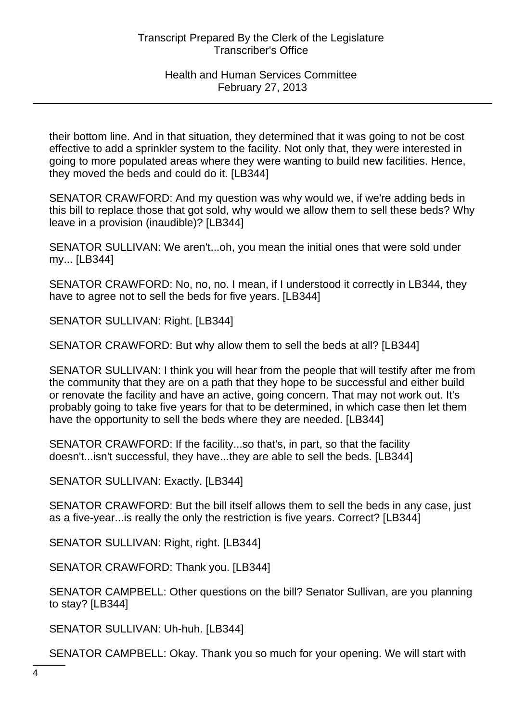their bottom line. And in that situation, they determined that it was going to not be cost effective to add a sprinkler system to the facility. Not only that, they were interested in going to more populated areas where they were wanting to build new facilities. Hence, they moved the beds and could do it. [LB344]

SENATOR CRAWFORD: And my question was why would we, if we're adding beds in this bill to replace those that got sold, why would we allow them to sell these beds? Why leave in a provision (inaudible)? [LB344]

SENATOR SULLIVAN: We aren't...oh, you mean the initial ones that were sold under my... [LB344]

SENATOR CRAWFORD: No, no, no. I mean, if I understood it correctly in LB344, they have to agree not to sell the beds for five years. [LB344]

SENATOR SULLIVAN: Right. [LB344]

SENATOR CRAWFORD: But why allow them to sell the beds at all? [LB344]

SENATOR SULLIVAN: I think you will hear from the people that will testify after me from the community that they are on a path that they hope to be successful and either build or renovate the facility and have an active, going concern. That may not work out. It's probably going to take five years for that to be determined, in which case then let them have the opportunity to sell the beds where they are needed. [LB344]

SENATOR CRAWFORD: If the facility...so that's, in part, so that the facility doesn't...isn't successful, they have...they are able to sell the beds. [LB344]

SENATOR SULLIVAN: Exactly. [LB344]

SENATOR CRAWFORD: But the bill itself allows them to sell the beds in any case, just as a five-year...is really the only the restriction is five years. Correct? [LB344]

SENATOR SULLIVAN: Right, right. [LB344]

SENATOR CRAWFORD: Thank you. [LB344]

SENATOR CAMPBELL: Other questions on the bill? Senator Sullivan, are you planning to stay? [LB344]

SENATOR SULLIVAN: Uh-huh. [LB344]

SENATOR CAMPBELL: Okay. Thank you so much for your opening. We will start with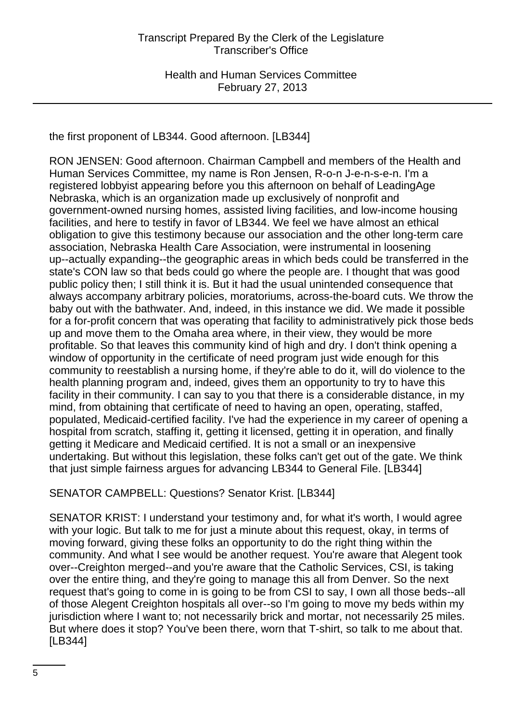the first proponent of LB344. Good afternoon. [LB344]

RON JENSEN: Good afternoon. Chairman Campbell and members of the Health and Human Services Committee, my name is Ron Jensen, R-o-n J-e-n-s-e-n. I'm a registered lobbyist appearing before you this afternoon on behalf of LeadingAge Nebraska, which is an organization made up exclusively of nonprofit and government-owned nursing homes, assisted living facilities, and low-income housing facilities, and here to testify in favor of LB344. We feel we have almost an ethical obligation to give this testimony because our association and the other long-term care association, Nebraska Health Care Association, were instrumental in loosening up--actually expanding--the geographic areas in which beds could be transferred in the state's CON law so that beds could go where the people are. I thought that was good public policy then; I still think it is. But it had the usual unintended consequence that always accompany arbitrary policies, moratoriums, across-the-board cuts. We throw the baby out with the bathwater. And, indeed, in this instance we did. We made it possible for a for-profit concern that was operating that facility to administratively pick those beds up and move them to the Omaha area where, in their view, they would be more profitable. So that leaves this community kind of high and dry. I don't think opening a window of opportunity in the certificate of need program just wide enough for this community to reestablish a nursing home, if they're able to do it, will do violence to the health planning program and, indeed, gives them an opportunity to try to have this facility in their community. I can say to you that there is a considerable distance, in my mind, from obtaining that certificate of need to having an open, operating, staffed, populated, Medicaid-certified facility. I've had the experience in my career of opening a hospital from scratch, staffing it, getting it licensed, getting it in operation, and finally getting it Medicare and Medicaid certified. It is not a small or an inexpensive undertaking. But without this legislation, these folks can't get out of the gate. We think that just simple fairness argues for advancing LB344 to General File. [LB344]

SENATOR CAMPBELL: Questions? Senator Krist. [LB344]

SENATOR KRIST: I understand your testimony and, for what it's worth, I would agree with your logic. But talk to me for just a minute about this request, okay, in terms of moving forward, giving these folks an opportunity to do the right thing within the community. And what I see would be another request. You're aware that Alegent took over--Creighton merged--and you're aware that the Catholic Services, CSI, is taking over the entire thing, and they're going to manage this all from Denver. So the next request that's going to come in is going to be from CSI to say, I own all those beds--all of those Alegent Creighton hospitals all over--so I'm going to move my beds within my jurisdiction where I want to; not necessarily brick and mortar, not necessarily 25 miles. But where does it stop? You've been there, worn that T-shirt, so talk to me about that. [LB344]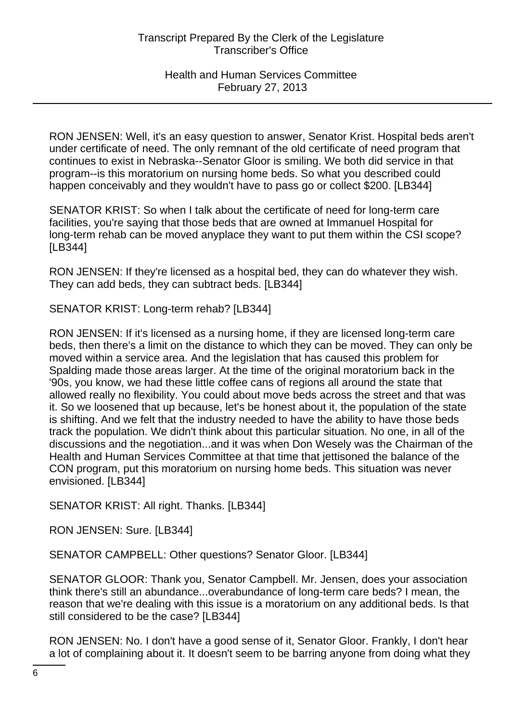RON JENSEN: Well, it's an easy question to answer, Senator Krist. Hospital beds aren't under certificate of need. The only remnant of the old certificate of need program that continues to exist in Nebraska--Senator Gloor is smiling. We both did service in that program--is this moratorium on nursing home beds. So what you described could happen conceivably and they wouldn't have to pass go or collect \$200. [LB344]

SENATOR KRIST: So when I talk about the certificate of need for long-term care facilities, you're saying that those beds that are owned at Immanuel Hospital for long-term rehab can be moved anyplace they want to put them within the CSI scope? [LB344]

RON JENSEN: If they're licensed as a hospital bed, they can do whatever they wish. They can add beds, they can subtract beds. [LB344]

SENATOR KRIST: Long-term rehab? [LB344]

RON JENSEN: If it's licensed as a nursing home, if they are licensed long-term care beds, then there's a limit on the distance to which they can be moved. They can only be moved within a service area. And the legislation that has caused this problem for Spalding made those areas larger. At the time of the original moratorium back in the '90s, you know, we had these little coffee cans of regions all around the state that allowed really no flexibility. You could about move beds across the street and that was it. So we loosened that up because, let's be honest about it, the population of the state is shifting. And we felt that the industry needed to have the ability to have those beds track the population. We didn't think about this particular situation. No one, in all of the discussions and the negotiation...and it was when Don Wesely was the Chairman of the Health and Human Services Committee at that time that jettisoned the balance of the CON program, put this moratorium on nursing home beds. This situation was never envisioned. [LB344]

SENATOR KRIST: All right. Thanks. [LB344]

RON JENSEN: Sure. [LB344]

SENATOR CAMPBELL: Other questions? Senator Gloor. [LB344]

SENATOR GLOOR: Thank you, Senator Campbell. Mr. Jensen, does your association think there's still an abundance...overabundance of long-term care beds? I mean, the reason that we're dealing with this issue is a moratorium on any additional beds. Is that still considered to be the case? [LB344]

RON JENSEN: No. I don't have a good sense of it, Senator Gloor. Frankly, I don't hear a lot of complaining about it. It doesn't seem to be barring anyone from doing what they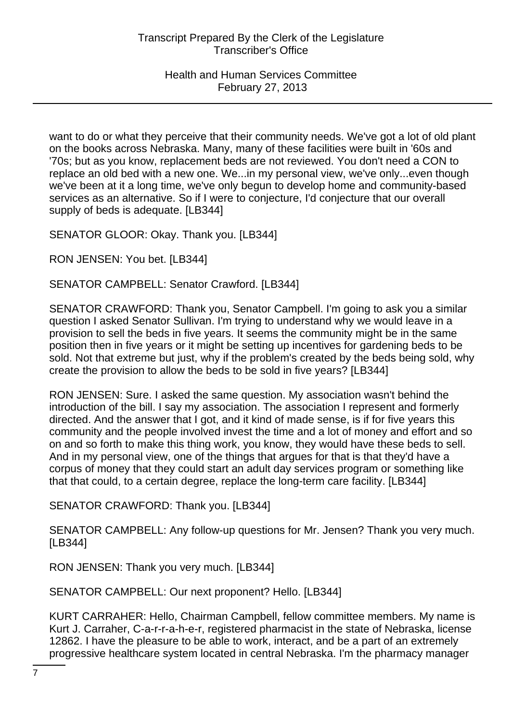want to do or what they perceive that their community needs. We've got a lot of old plant on the books across Nebraska. Many, many of these facilities were built in '60s and '70s; but as you know, replacement beds are not reviewed. You don't need a CON to replace an old bed with a new one. We...in my personal view, we've only...even though we've been at it a long time, we've only begun to develop home and community-based services as an alternative. So if I were to conjecture, I'd conjecture that our overall supply of beds is adequate. [LB344]

SENATOR GLOOR: Okay. Thank you. [LB344]

RON JENSEN: You bet. [LB344]

SENATOR CAMPBELL: Senator Crawford. [LB344]

SENATOR CRAWFORD: Thank you, Senator Campbell. I'm going to ask you a similar question I asked Senator Sullivan. I'm trying to understand why we would leave in a provision to sell the beds in five years. It seems the community might be in the same position then in five years or it might be setting up incentives for gardening beds to be sold. Not that extreme but just, why if the problem's created by the beds being sold, why create the provision to allow the beds to be sold in five years? [LB344]

RON JENSEN: Sure. I asked the same question. My association wasn't behind the introduction of the bill. I say my association. The association I represent and formerly directed. And the answer that I got, and it kind of made sense, is if for five years this community and the people involved invest the time and a lot of money and effort and so on and so forth to make this thing work, you know, they would have these beds to sell. And in my personal view, one of the things that argues for that is that they'd have a corpus of money that they could start an adult day services program or something like that that could, to a certain degree, replace the long-term care facility. [LB344]

SENATOR CRAWFORD: Thank you. [LB344]

SENATOR CAMPBELL: Any follow-up questions for Mr. Jensen? Thank you very much. [LB344]

RON JENSEN: Thank you very much. [LB344]

SENATOR CAMPBELL: Our next proponent? Hello. [LB344]

KURT CARRAHER: Hello, Chairman Campbell, fellow committee members. My name is Kurt J. Carraher, C-a-r-r-a-h-e-r, registered pharmacist in the state of Nebraska, license 12862. I have the pleasure to be able to work, interact, and be a part of an extremely progressive healthcare system located in central Nebraska. I'm the pharmacy manager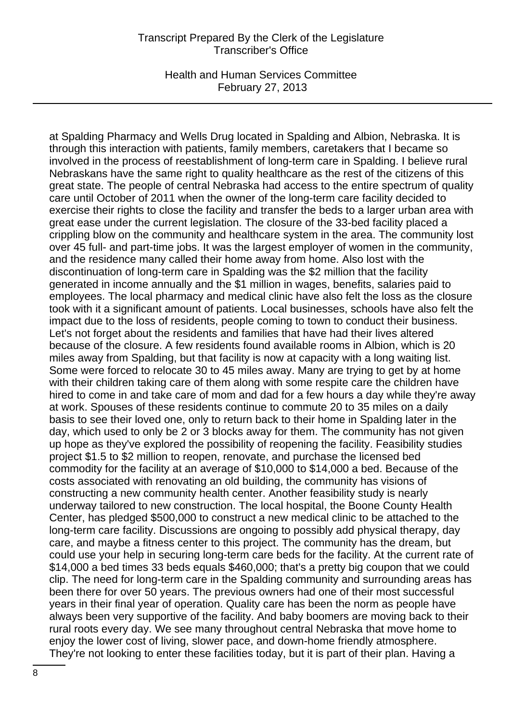Health and Human Services Committee February 27, 2013

at Spalding Pharmacy and Wells Drug located in Spalding and Albion, Nebraska. It is through this interaction with patients, family members, caretakers that I became so involved in the process of reestablishment of long-term care in Spalding. I believe rural Nebraskans have the same right to quality healthcare as the rest of the citizens of this great state. The people of central Nebraska had access to the entire spectrum of quality care until October of 2011 when the owner of the long-term care facility decided to exercise their rights to close the facility and transfer the beds to a larger urban area with great ease under the current legislation. The closure of the 33-bed facility placed a crippling blow on the community and healthcare system in the area. The community lost over 45 full- and part-time jobs. It was the largest employer of women in the community, and the residence many called their home away from home. Also lost with the discontinuation of long-term care in Spalding was the \$2 million that the facility generated in income annually and the \$1 million in wages, benefits, salaries paid to employees. The local pharmacy and medical clinic have also felt the loss as the closure took with it a significant amount of patients. Local businesses, schools have also felt the impact due to the loss of residents, people coming to town to conduct their business. Let's not forget about the residents and families that have had their lives altered because of the closure. A few residents found available rooms in Albion, which is 20 miles away from Spalding, but that facility is now at capacity with a long waiting list. Some were forced to relocate 30 to 45 miles away. Many are trying to get by at home with their children taking care of them along with some respite care the children have hired to come in and take care of mom and dad for a few hours a day while they're away at work. Spouses of these residents continue to commute 20 to 35 miles on a daily basis to see their loved one, only to return back to their home in Spalding later in the day, which used to only be 2 or 3 blocks away for them. The community has not given up hope as they've explored the possibility of reopening the facility. Feasibility studies project \$1.5 to \$2 million to reopen, renovate, and purchase the licensed bed commodity for the facility at an average of \$10,000 to \$14,000 a bed. Because of the costs associated with renovating an old building, the community has visions of constructing a new community health center. Another feasibility study is nearly underway tailored to new construction. The local hospital, the Boone County Health Center, has pledged \$500,000 to construct a new medical clinic to be attached to the long-term care facility. Discussions are ongoing to possibly add physical therapy, day care, and maybe a fitness center to this project. The community has the dream, but could use your help in securing long-term care beds for the facility. At the current rate of \$14,000 a bed times 33 beds equals \$460,000; that's a pretty big coupon that we could clip. The need for long-term care in the Spalding community and surrounding areas has been there for over 50 years. The previous owners had one of their most successful years in their final year of operation. Quality care has been the norm as people have always been very supportive of the facility. And baby boomers are moving back to their rural roots every day. We see many throughout central Nebraska that move home to enjoy the lower cost of living, slower pace, and down-home friendly atmosphere. They're not looking to enter these facilities today, but it is part of their plan. Having a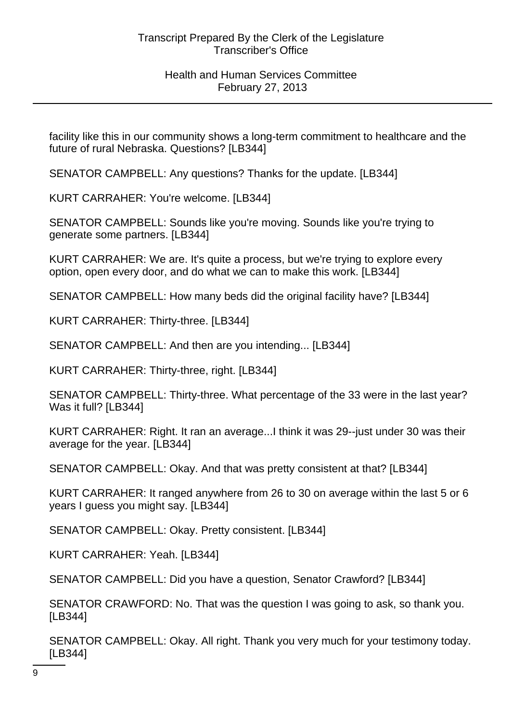facility like this in our community shows a long-term commitment to healthcare and the future of rural Nebraska. Questions? [LB344]

SENATOR CAMPBELL: Any questions? Thanks for the update. [LB344]

KURT CARRAHER: You're welcome. [LB344]

SENATOR CAMPBELL: Sounds like you're moving. Sounds like you're trying to generate some partners. [LB344]

KURT CARRAHER: We are. It's quite a process, but we're trying to explore every option, open every door, and do what we can to make this work. [LB344]

SENATOR CAMPBELL: How many beds did the original facility have? [LB344]

KURT CARRAHER: Thirty-three. [LB344]

SENATOR CAMPBELL: And then are you intending... [LB344]

KURT CARRAHER: Thirty-three, right. [LB344]

SENATOR CAMPBELL: Thirty-three. What percentage of the 33 were in the last year? Was it full? [LB344]

KURT CARRAHER: Right. It ran an average...I think it was 29--just under 30 was their average for the year. [LB344]

SENATOR CAMPBELL: Okay. And that was pretty consistent at that? [LB344]

KURT CARRAHER: It ranged anywhere from 26 to 30 on average within the last 5 or 6 years I guess you might say. [LB344]

SENATOR CAMPBELL: Okay. Pretty consistent. [LB344]

KURT CARRAHER: Yeah. [LB344]

SENATOR CAMPBELL: Did you have a question, Senator Crawford? [LB344]

SENATOR CRAWFORD: No. That was the question I was going to ask, so thank you. [LB344]

SENATOR CAMPBELL: Okay. All right. Thank you very much for your testimony today. [LB344]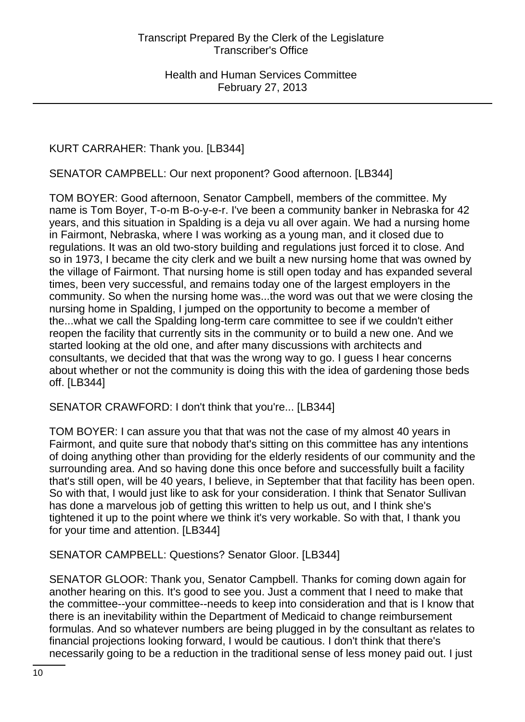# KURT CARRAHER: Thank you. [LB344]

SENATOR CAMPBELL: Our next proponent? Good afternoon. [LB344]

TOM BOYER: Good afternoon, Senator Campbell, members of the committee. My name is Tom Boyer, T-o-m B-o-y-e-r. I've been a community banker in Nebraska for 42 years, and this situation in Spalding is a deja vu all over again. We had a nursing home in Fairmont, Nebraska, where I was working as a young man, and it closed due to regulations. It was an old two-story building and regulations just forced it to close. And so in 1973, I became the city clerk and we built a new nursing home that was owned by the village of Fairmont. That nursing home is still open today and has expanded several times, been very successful, and remains today one of the largest employers in the community. So when the nursing home was...the word was out that we were closing the nursing home in Spalding, I jumped on the opportunity to become a member of the...what we call the Spalding long-term care committee to see if we couldn't either reopen the facility that currently sits in the community or to build a new one. And we started looking at the old one, and after many discussions with architects and consultants, we decided that that was the wrong way to go. I guess I hear concerns about whether or not the community is doing this with the idea of gardening those beds off. [LB344]

SENATOR CRAWFORD: I don't think that you're... [LB344]

TOM BOYER: I can assure you that that was not the case of my almost 40 years in Fairmont, and quite sure that nobody that's sitting on this committee has any intentions of doing anything other than providing for the elderly residents of our community and the surrounding area. And so having done this once before and successfully built a facility that's still open, will be 40 years, I believe, in September that that facility has been open. So with that, I would just like to ask for your consideration. I think that Senator Sullivan has done a marvelous job of getting this written to help us out, and I think she's tightened it up to the point where we think it's very workable. So with that, I thank you for your time and attention. [LB344]

SENATOR CAMPBELL: Questions? Senator Gloor. [LB344]

SENATOR GLOOR: Thank you, Senator Campbell. Thanks for coming down again for another hearing on this. It's good to see you. Just a comment that I need to make that the committee--your committee--needs to keep into consideration and that is I know that there is an inevitability within the Department of Medicaid to change reimbursement formulas. And so whatever numbers are being plugged in by the consultant as relates to financial projections looking forward, I would be cautious. I don't think that there's necessarily going to be a reduction in the traditional sense of less money paid out. I just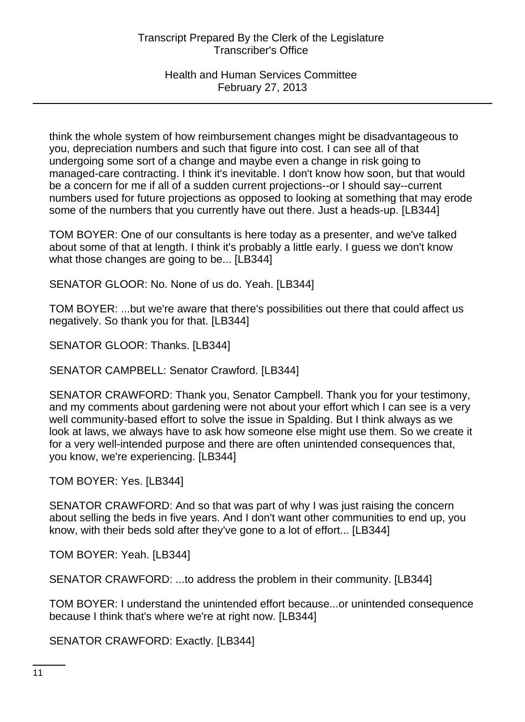think the whole system of how reimbursement changes might be disadvantageous to you, depreciation numbers and such that figure into cost. I can see all of that undergoing some sort of a change and maybe even a change in risk going to managed-care contracting. I think it's inevitable. I don't know how soon, but that would be a concern for me if all of a sudden current projections--or I should say--current numbers used for future projections as opposed to looking at something that may erode some of the numbers that you currently have out there. Just a heads-up. [LB344]

TOM BOYER: One of our consultants is here today as a presenter, and we've talked about some of that at length. I think it's probably a little early. I guess we don't know what those changes are going to be... [LB344]

SENATOR GLOOR: No. None of us do. Yeah. [LB344]

TOM BOYER: ...but we're aware that there's possibilities out there that could affect us negatively. So thank you for that. [LB344]

SENATOR GLOOR: Thanks. [LB344]

SENATOR CAMPBELL: Senator Crawford. [LB344]

SENATOR CRAWFORD: Thank you, Senator Campbell. Thank you for your testimony, and my comments about gardening were not about your effort which I can see is a very well community-based effort to solve the issue in Spalding. But I think always as we look at laws, we always have to ask how someone else might use them. So we create it for a very well-intended purpose and there are often unintended consequences that, you know, we're experiencing. [LB344]

TOM BOYER: Yes. [LB344]

SENATOR CRAWFORD: And so that was part of why I was just raising the concern about selling the beds in five years. And I don't want other communities to end up, you know, with their beds sold after they've gone to a lot of effort... [LB344]

TOM BOYER: Yeah. [LB344]

SENATOR CRAWFORD: ...to address the problem in their community. [LB344]

TOM BOYER: I understand the unintended effort because...or unintended consequence because I think that's where we're at right now. [LB344]

SENATOR CRAWFORD: Exactly. [LB344]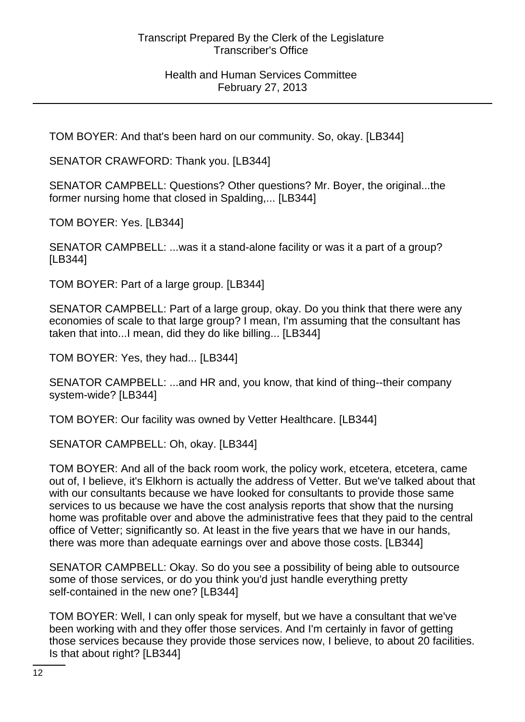TOM BOYER: And that's been hard on our community. So, okay. [LB344]

SENATOR CRAWFORD: Thank you. [LB344]

SENATOR CAMPBELL: Questions? Other questions? Mr. Boyer, the original...the former nursing home that closed in Spalding,... [LB344]

TOM BOYER: Yes. [LB344]

SENATOR CAMPBELL: ...was it a stand-alone facility or was it a part of a group? [LB344]

TOM BOYER: Part of a large group. [LB344]

SENATOR CAMPBELL: Part of a large group, okay. Do you think that there were any economies of scale to that large group? I mean, I'm assuming that the consultant has taken that into...I mean, did they do like billing... [LB344]

TOM BOYER: Yes, they had... [LB344]

SENATOR CAMPBELL: ...and HR and, you know, that kind of thing--their company system-wide? [LB344]

TOM BOYER: Our facility was owned by Vetter Healthcare. [LB344]

SENATOR CAMPBELL: Oh, okay. [LB344]

TOM BOYER: And all of the back room work, the policy work, etcetera, etcetera, came out of, I believe, it's Elkhorn is actually the address of Vetter. But we've talked about that with our consultants because we have looked for consultants to provide those same services to us because we have the cost analysis reports that show that the nursing home was profitable over and above the administrative fees that they paid to the central office of Vetter; significantly so. At least in the five years that we have in our hands, there was more than adequate earnings over and above those costs. [LB344]

SENATOR CAMPBELL: Okay. So do you see a possibility of being able to outsource some of those services, or do you think you'd just handle everything pretty self-contained in the new one? [LB344]

TOM BOYER: Well, I can only speak for myself, but we have a consultant that we've been working with and they offer those services. And I'm certainly in favor of getting those services because they provide those services now, I believe, to about 20 facilities. Is that about right? [LB344]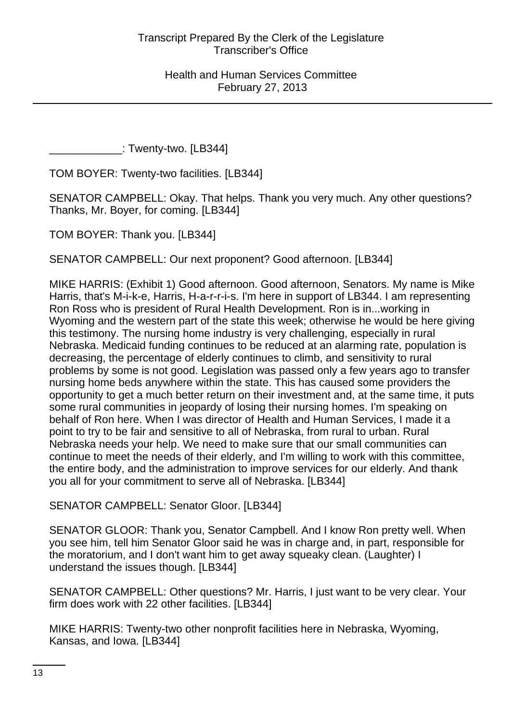\_\_\_\_\_\_\_\_\_\_\_\_: Twenty-two. [LB344]

TOM BOYER: Twenty-two facilities. [LB344]

SENATOR CAMPBELL: Okay. That helps. Thank you very much. Any other questions? Thanks, Mr. Boyer, for coming. [LB344]

TOM BOYER: Thank you. [LB344]

SENATOR CAMPBELL: Our next proponent? Good afternoon. [LB344]

MIKE HARRIS: (Exhibit 1) Good afternoon. Good afternoon, Senators. My name is Mike Harris, that's M-i-k-e, Harris, H-a-r-r-i-s. I'm here in support of LB344. I am representing Ron Ross who is president of Rural Health Development. Ron is in...working in Wyoming and the western part of the state this week; otherwise he would be here giving this testimony. The nursing home industry is very challenging, especially in rural Nebraska. Medicaid funding continues to be reduced at an alarming rate, population is decreasing, the percentage of elderly continues to climb, and sensitivity to rural problems by some is not good. Legislation was passed only a few years ago to transfer nursing home beds anywhere within the state. This has caused some providers the opportunity to get a much better return on their investment and, at the same time, it puts some rural communities in jeopardy of losing their nursing homes. I'm speaking on behalf of Ron here. When I was director of Health and Human Services, I made it a point to try to be fair and sensitive to all of Nebraska, from rural to urban. Rural Nebraska needs your help. We need to make sure that our small communities can continue to meet the needs of their elderly, and I'm willing to work with this committee, the entire body, and the administration to improve services for our elderly. And thank you all for your commitment to serve all of Nebraska. [LB344]

SENATOR CAMPBELL: Senator Gloor. [LB344]

SENATOR GLOOR: Thank you, Senator Campbell. And I know Ron pretty well. When you see him, tell him Senator Gloor said he was in charge and, in part, responsible for the moratorium, and I don't want him to get away squeaky clean. (Laughter) I understand the issues though. [LB344]

SENATOR CAMPBELL: Other questions? Mr. Harris, I just want to be very clear. Your firm does work with 22 other facilities. [LB344]

MIKE HARRIS: Twenty-two other nonprofit facilities here in Nebraska, Wyoming, Kansas, and Iowa. [LB344]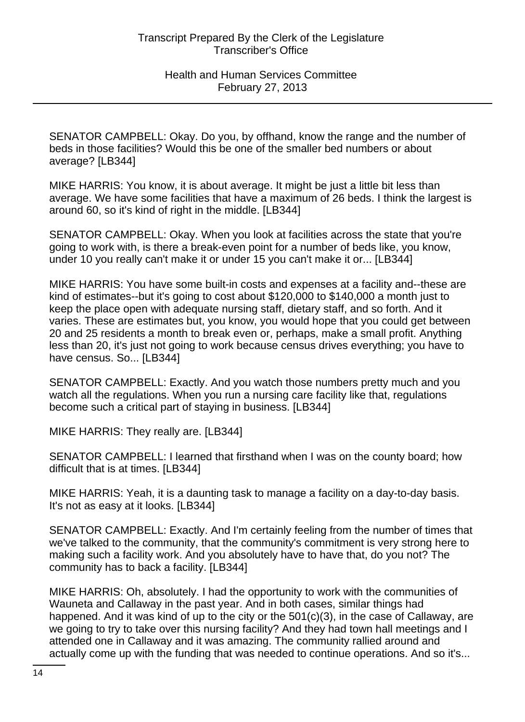SENATOR CAMPBELL: Okay. Do you, by offhand, know the range and the number of beds in those facilities? Would this be one of the smaller bed numbers or about average? [LB344]

MIKE HARRIS: You know, it is about average. It might be just a little bit less than average. We have some facilities that have a maximum of 26 beds. I think the largest is around 60, so it's kind of right in the middle. [LB344]

SENATOR CAMPBELL: Okay. When you look at facilities across the state that you're going to work with, is there a break-even point for a number of beds like, you know, under 10 you really can't make it or under 15 you can't make it or... [LB344]

MIKE HARRIS: You have some built-in costs and expenses at a facility and--these are kind of estimates--but it's going to cost about \$120,000 to \$140,000 a month just to keep the place open with adequate nursing staff, dietary staff, and so forth. And it varies. These are estimates but, you know, you would hope that you could get between 20 and 25 residents a month to break even or, perhaps, make a small profit. Anything less than 20, it's just not going to work because census drives everything; you have to have census. So... [LB344]

SENATOR CAMPBELL: Exactly. And you watch those numbers pretty much and you watch all the regulations. When you run a nursing care facility like that, regulations become such a critical part of staying in business. [LB344]

MIKE HARRIS: They really are. [LB344]

SENATOR CAMPBELL: I learned that firsthand when I was on the county board; how difficult that is at times. [LB344]

MIKE HARRIS: Yeah, it is a daunting task to manage a facility on a day-to-day basis. It's not as easy at it looks. [LB344]

SENATOR CAMPBELL: Exactly. And I'm certainly feeling from the number of times that we've talked to the community, that the community's commitment is very strong here to making such a facility work. And you absolutely have to have that, do you not? The community has to back a facility. [LB344]

MIKE HARRIS: Oh, absolutely. I had the opportunity to work with the communities of Wauneta and Callaway in the past year. And in both cases, similar things had happened. And it was kind of up to the city or the 501(c)(3), in the case of Callaway, are we going to try to take over this nursing facility? And they had town hall meetings and I attended one in Callaway and it was amazing. The community rallied around and actually come up with the funding that was needed to continue operations. And so it's...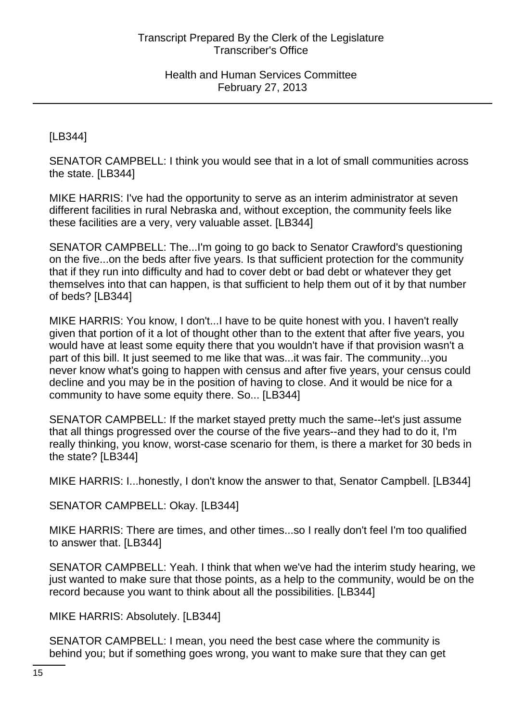[LB344]

SENATOR CAMPBELL: I think you would see that in a lot of small communities across the state. [LB344]

MIKE HARRIS: I've had the opportunity to serve as an interim administrator at seven different facilities in rural Nebraska and, without exception, the community feels like these facilities are a very, very valuable asset. [LB344]

SENATOR CAMPBELL: The...I'm going to go back to Senator Crawford's questioning on the five...on the beds after five years. Is that sufficient protection for the community that if they run into difficulty and had to cover debt or bad debt or whatever they get themselves into that can happen, is that sufficient to help them out of it by that number of beds? [LB344]

MIKE HARRIS: You know, I don't...I have to be quite honest with you. I haven't really given that portion of it a lot of thought other than to the extent that after five years, you would have at least some equity there that you wouldn't have if that provision wasn't a part of this bill. It just seemed to me like that was...it was fair. The community...you never know what's going to happen with census and after five years, your census could decline and you may be in the position of having to close. And it would be nice for a community to have some equity there. So... [LB344]

SENATOR CAMPBELL: If the market stayed pretty much the same--let's just assume that all things progressed over the course of the five years--and they had to do it, I'm really thinking, you know, worst-case scenario for them, is there a market for 30 beds in the state? [LB344]

MIKE HARRIS: I...honestly, I don't know the answer to that, Senator Campbell. [LB344]

SENATOR CAMPBELL: Okay. [LB344]

MIKE HARRIS: There are times, and other times...so I really don't feel I'm too qualified to answer that. [LB344]

SENATOR CAMPBELL: Yeah. I think that when we've had the interim study hearing, we just wanted to make sure that those points, as a help to the community, would be on the record because you want to think about all the possibilities. [LB344]

MIKE HARRIS: Absolutely. [LB344]

SENATOR CAMPBELL: I mean, you need the best case where the community is behind you; but if something goes wrong, you want to make sure that they can get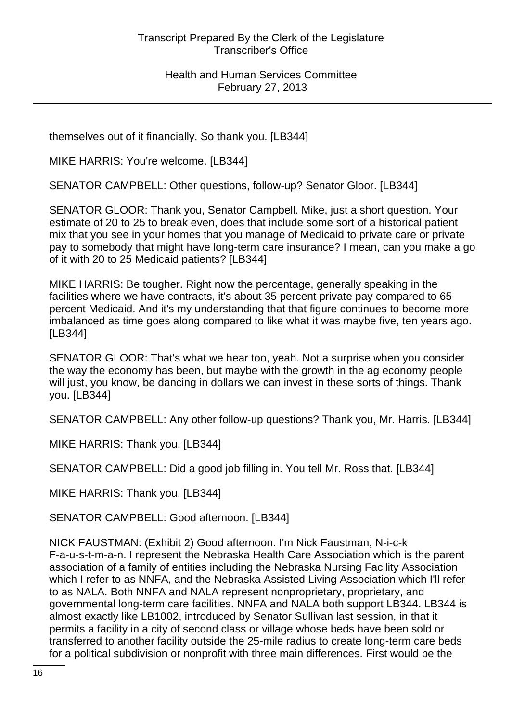themselves out of it financially. So thank you. [LB344]

MIKE HARRIS: You're welcome. [LB344]

SENATOR CAMPBELL: Other questions, follow-up? Senator Gloor. [LB344]

SENATOR GLOOR: Thank you, Senator Campbell. Mike, just a short question. Your estimate of 20 to 25 to break even, does that include some sort of a historical patient mix that you see in your homes that you manage of Medicaid to private care or private pay to somebody that might have long-term care insurance? I mean, can you make a go of it with 20 to 25 Medicaid patients? [LB344]

MIKE HARRIS: Be tougher. Right now the percentage, generally speaking in the facilities where we have contracts, it's about 35 percent private pay compared to 65 percent Medicaid. And it's my understanding that that figure continues to become more imbalanced as time goes along compared to like what it was maybe five, ten years ago. [LB344]

SENATOR GLOOR: That's what we hear too, yeah. Not a surprise when you consider the way the economy has been, but maybe with the growth in the ag economy people will just, you know, be dancing in dollars we can invest in these sorts of things. Thank you. [LB344]

SENATOR CAMPBELL: Any other follow-up questions? Thank you, Mr. Harris. [LB344]

MIKE HARRIS: Thank you. [LB344]

SENATOR CAMPBELL: Did a good job filling in. You tell Mr. Ross that. [LB344]

MIKE HARRIS: Thank you. [LB344]

SENATOR CAMPBELL: Good afternoon. [LB344]

NICK FAUSTMAN: (Exhibit 2) Good afternoon. I'm Nick Faustman, N-i-c-k F-a-u-s-t-m-a-n. I represent the Nebraska Health Care Association which is the parent association of a family of entities including the Nebraska Nursing Facility Association which I refer to as NNFA, and the Nebraska Assisted Living Association which I'll refer to as NALA. Both NNFA and NALA represent nonproprietary, proprietary, and governmental long-term care facilities. NNFA and NALA both support LB344. LB344 is almost exactly like LB1002, introduced by Senator Sullivan last session, in that it permits a facility in a city of second class or village whose beds have been sold or transferred to another facility outside the 25-mile radius to create long-term care beds for a political subdivision or nonprofit with three main differences. First would be the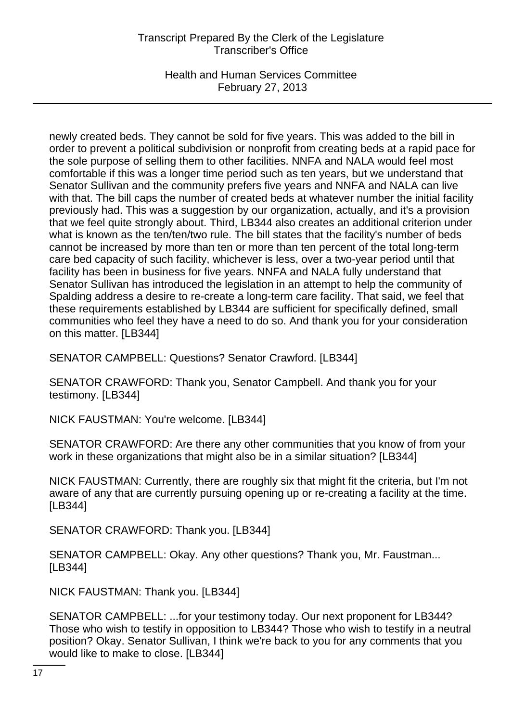Health and Human Services Committee February 27, 2013

newly created beds. They cannot be sold for five years. This was added to the bill in order to prevent a political subdivision or nonprofit from creating beds at a rapid pace for the sole purpose of selling them to other facilities. NNFA and NALA would feel most comfortable if this was a longer time period such as ten years, but we understand that Senator Sullivan and the community prefers five years and NNFA and NALA can live with that. The bill caps the number of created beds at whatever number the initial facility previously had. This was a suggestion by our organization, actually, and it's a provision that we feel quite strongly about. Third, LB344 also creates an additional criterion under what is known as the ten/ten/two rule. The bill states that the facility's number of beds cannot be increased by more than ten or more than ten percent of the total long-term care bed capacity of such facility, whichever is less, over a two-year period until that facility has been in business for five years. NNFA and NALA fully understand that Senator Sullivan has introduced the legislation in an attempt to help the community of Spalding address a desire to re-create a long-term care facility. That said, we feel that these requirements established by LB344 are sufficient for specifically defined, small communities who feel they have a need to do so. And thank you for your consideration on this matter. [LB344]

SENATOR CAMPBELL: Questions? Senator Crawford. [LB344]

SENATOR CRAWFORD: Thank you, Senator Campbell. And thank you for your testimony. [LB344]

NICK FAUSTMAN: You're welcome. [LB344]

SENATOR CRAWFORD: Are there any other communities that you know of from your work in these organizations that might also be in a similar situation? [LB344]

NICK FAUSTMAN: Currently, there are roughly six that might fit the criteria, but I'm not aware of any that are currently pursuing opening up or re-creating a facility at the time. [LB344]

SENATOR CRAWFORD: Thank you. [LB344]

SENATOR CAMPBELL: Okay. Any other questions? Thank you, Mr. Faustman... [LB344]

NICK FAUSTMAN: Thank you. [LB344]

SENATOR CAMPBELL: ...for your testimony today. Our next proponent for LB344? Those who wish to testify in opposition to LB344? Those who wish to testify in a neutral position? Okay. Senator Sullivan, I think we're back to you for any comments that you would like to make to close. [LB344]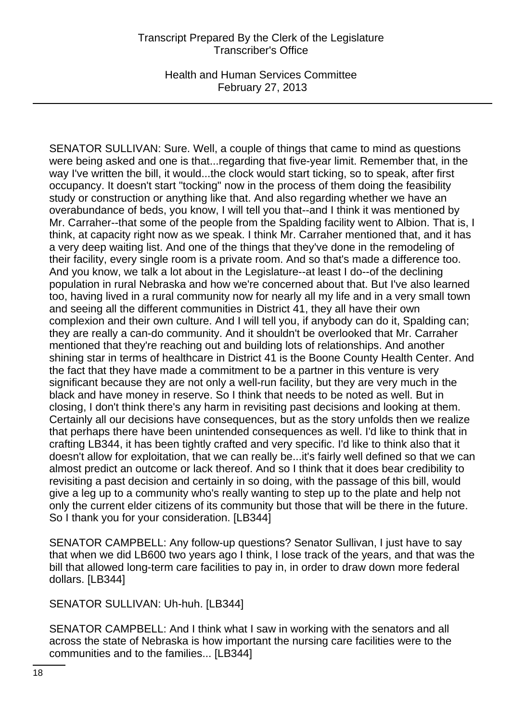Health and Human Services Committee February 27, 2013

SENATOR SULLIVAN: Sure. Well, a couple of things that came to mind as questions were being asked and one is that...regarding that five-year limit. Remember that, in the way I've written the bill, it would...the clock would start ticking, so to speak, after first occupancy. It doesn't start "tocking" now in the process of them doing the feasibility study or construction or anything like that. And also regarding whether we have an overabundance of beds, you know, I will tell you that--and I think it was mentioned by Mr. Carraher--that some of the people from the Spalding facility went to Albion. That is, I think, at capacity right now as we speak. I think Mr. Carraher mentioned that, and it has a very deep waiting list. And one of the things that they've done in the remodeling of their facility, every single room is a private room. And so that's made a difference too. And you know, we talk a lot about in the Legislature--at least I do--of the declining population in rural Nebraska and how we're concerned about that. But I've also learned too, having lived in a rural community now for nearly all my life and in a very small town and seeing all the different communities in District 41, they all have their own complexion and their own culture. And I will tell you, if anybody can do it, Spalding can; they are really a can-do community. And it shouldn't be overlooked that Mr. Carraher mentioned that they're reaching out and building lots of relationships. And another shining star in terms of healthcare in District 41 is the Boone County Health Center. And the fact that they have made a commitment to be a partner in this venture is very significant because they are not only a well-run facility, but they are very much in the black and have money in reserve. So I think that needs to be noted as well. But in closing, I don't think there's any harm in revisiting past decisions and looking at them. Certainly all our decisions have consequences, but as the story unfolds then we realize that perhaps there have been unintended consequences as well. I'd like to think that in crafting LB344, it has been tightly crafted and very specific. I'd like to think also that it doesn't allow for exploitation, that we can really be...it's fairly well defined so that we can almost predict an outcome or lack thereof. And so I think that it does bear credibility to revisiting a past decision and certainly in so doing, with the passage of this bill, would give a leg up to a community who's really wanting to step up to the plate and help not only the current elder citizens of its community but those that will be there in the future. So I thank you for your consideration. [LB344]

SENATOR CAMPBELL: Any follow-up questions? Senator Sullivan, I just have to say that when we did LB600 two years ago I think, I lose track of the years, and that was the bill that allowed long-term care facilities to pay in, in order to draw down more federal dollars. [LB344]

SENATOR SULLIVAN: Uh-huh. [LB344]

SENATOR CAMPBELL: And I think what I saw in working with the senators and all across the state of Nebraska is how important the nursing care facilities were to the communities and to the families... [LB344]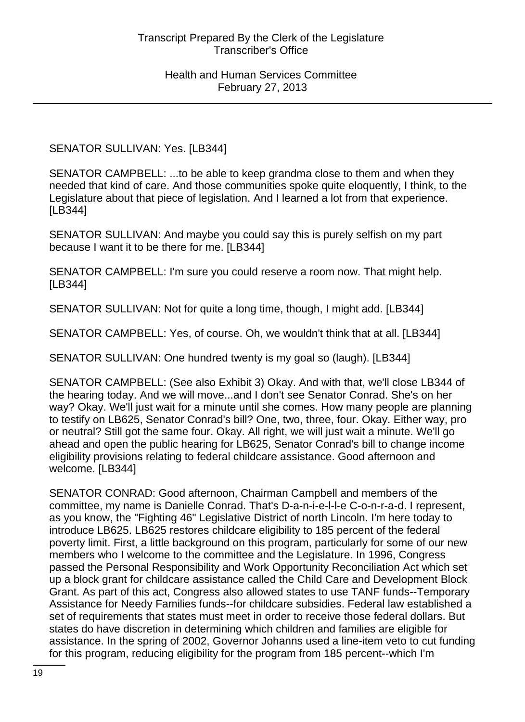SENATOR SULLIVAN: Yes. [LB344]

SENATOR CAMPBELL: ...to be able to keep grandma close to them and when they needed that kind of care. And those communities spoke quite eloquently, I think, to the Legislature about that piece of legislation. And I learned a lot from that experience. [LB344]

SENATOR SULLIVAN: And maybe you could say this is purely selfish on my part because I want it to be there for me. [LB344]

SENATOR CAMPBELL: I'm sure you could reserve a room now. That might help. [LB344]

SENATOR SULLIVAN: Not for quite a long time, though, I might add. [LB344]

SENATOR CAMPBELL: Yes, of course. Oh, we wouldn't think that at all. [LB344]

SENATOR SULLIVAN: One hundred twenty is my goal so (laugh). [LB344]

SENATOR CAMPBELL: (See also Exhibit 3) Okay. And with that, we'll close LB344 of the hearing today. And we will move...and I don't see Senator Conrad. She's on her way? Okay. We'll just wait for a minute until she comes. How many people are planning to testify on LB625, Senator Conrad's bill? One, two, three, four. Okay. Either way, pro or neutral? Still got the same four. Okay. All right, we will just wait a minute. We'll go ahead and open the public hearing for LB625, Senator Conrad's bill to change income eligibility provisions relating to federal childcare assistance. Good afternoon and welcome. [LB344]

SENATOR CONRAD: Good afternoon, Chairman Campbell and members of the committee, my name is Danielle Conrad. That's D-a-n-i-e-l-l-e C-o-n-r-a-d. I represent, as you know, the "Fighting 46" Legislative District of north Lincoln. I'm here today to introduce LB625. LB625 restores childcare eligibility to 185 percent of the federal poverty limit. First, a little background on this program, particularly for some of our new members who I welcome to the committee and the Legislature. In 1996, Congress passed the Personal Responsibility and Work Opportunity Reconciliation Act which set up a block grant for childcare assistance called the Child Care and Development Block Grant. As part of this act, Congress also allowed states to use TANF funds--Temporary Assistance for Needy Families funds--for childcare subsidies. Federal law established a set of requirements that states must meet in order to receive those federal dollars. But states do have discretion in determining which children and families are eligible for assistance. In the spring of 2002, Governor Johanns used a line-item veto to cut funding for this program, reducing eligibility for the program from 185 percent--which I'm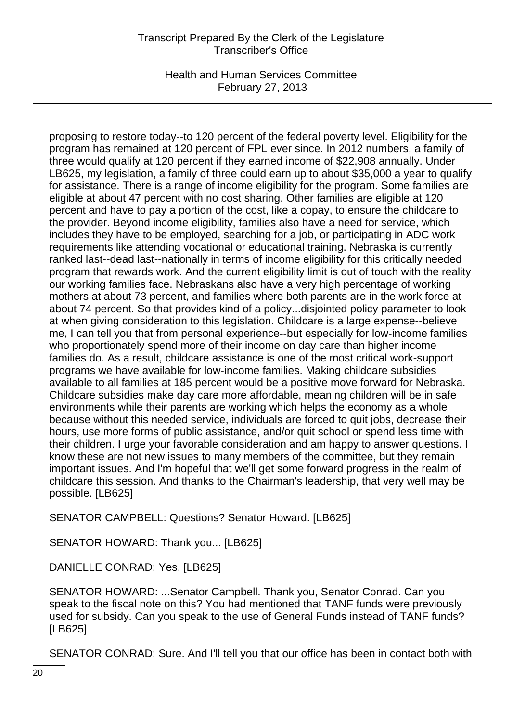Health and Human Services Committee February 27, 2013

proposing to restore today--to 120 percent of the federal poverty level. Eligibility for the program has remained at 120 percent of FPL ever since. In 2012 numbers, a family of three would qualify at 120 percent if they earned income of \$22,908 annually. Under LB625, my legislation, a family of three could earn up to about \$35,000 a year to qualify for assistance. There is a range of income eligibility for the program. Some families are eligible at about 47 percent with no cost sharing. Other families are eligible at 120 percent and have to pay a portion of the cost, like a copay, to ensure the childcare to the provider. Beyond income eligibility, families also have a need for service, which includes they have to be employed, searching for a job, or participating in ADC work requirements like attending vocational or educational training. Nebraska is currently ranked last--dead last--nationally in terms of income eligibility for this critically needed program that rewards work. And the current eligibility limit is out of touch with the reality our working families face. Nebraskans also have a very high percentage of working mothers at about 73 percent, and families where both parents are in the work force at about 74 percent. So that provides kind of a policy...disjointed policy parameter to look at when giving consideration to this legislation. Childcare is a large expense--believe me, I can tell you that from personal experience--but especially for low-income families who proportionately spend more of their income on day care than higher income families do. As a result, childcare assistance is one of the most critical work-support programs we have available for low-income families. Making childcare subsidies available to all families at 185 percent would be a positive move forward for Nebraska. Childcare subsidies make day care more affordable, meaning children will be in safe environments while their parents are working which helps the economy as a whole because without this needed service, individuals are forced to quit jobs, decrease their hours, use more forms of public assistance, and/or quit school or spend less time with their children. I urge your favorable consideration and am happy to answer questions. I know these are not new issues to many members of the committee, but they remain important issues. And I'm hopeful that we'll get some forward progress in the realm of childcare this session. And thanks to the Chairman's leadership, that very well may be possible. [LB625]

SENATOR CAMPBELL: Questions? Senator Howard. [LB625]

SENATOR HOWARD: Thank you... [LB625]

DANIELLE CONRAD: Yes. [LB625]

SENATOR HOWARD: ...Senator Campbell. Thank you, Senator Conrad. Can you speak to the fiscal note on this? You had mentioned that TANF funds were previously used for subsidy. Can you speak to the use of General Funds instead of TANF funds? [LB625]

SENATOR CONRAD: Sure. And I'll tell you that our office has been in contact both with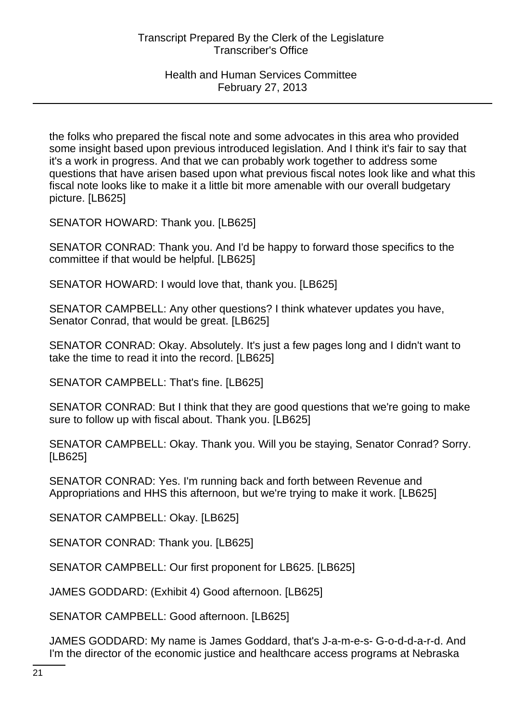the folks who prepared the fiscal note and some advocates in this area who provided some insight based upon previous introduced legislation. And I think it's fair to say that it's a work in progress. And that we can probably work together to address some questions that have arisen based upon what previous fiscal notes look like and what this fiscal note looks like to make it a little bit more amenable with our overall budgetary picture. [LB625]

SENATOR HOWARD: Thank you. [LB625]

SENATOR CONRAD: Thank you. And I'd be happy to forward those specifics to the committee if that would be helpful. [LB625]

SENATOR HOWARD: I would love that, thank you. [LB625]

SENATOR CAMPBELL: Any other questions? I think whatever updates you have, Senator Conrad, that would be great. [LB625]

SENATOR CONRAD: Okay. Absolutely. It's just a few pages long and I didn't want to take the time to read it into the record. [LB625]

SENATOR CAMPBELL: That's fine. [LB625]

SENATOR CONRAD: But I think that they are good questions that we're going to make sure to follow up with fiscal about. Thank you. [LB625]

SENATOR CAMPBELL: Okay. Thank you. Will you be staying, Senator Conrad? Sorry. [LB625]

SENATOR CONRAD: Yes. I'm running back and forth between Revenue and Appropriations and HHS this afternoon, but we're trying to make it work. [LB625]

SENATOR CAMPBELL: Okay. [LB625]

SENATOR CONRAD: Thank you. [LB625]

SENATOR CAMPBELL: Our first proponent for LB625. [LB625]

JAMES GODDARD: (Exhibit 4) Good afternoon. [LB625]

SENATOR CAMPBELL: Good afternoon. [LB625]

JAMES GODDARD: My name is James Goddard, that's J-a-m-e-s- G-o-d-d-a-r-d. And I'm the director of the economic justice and healthcare access programs at Nebraska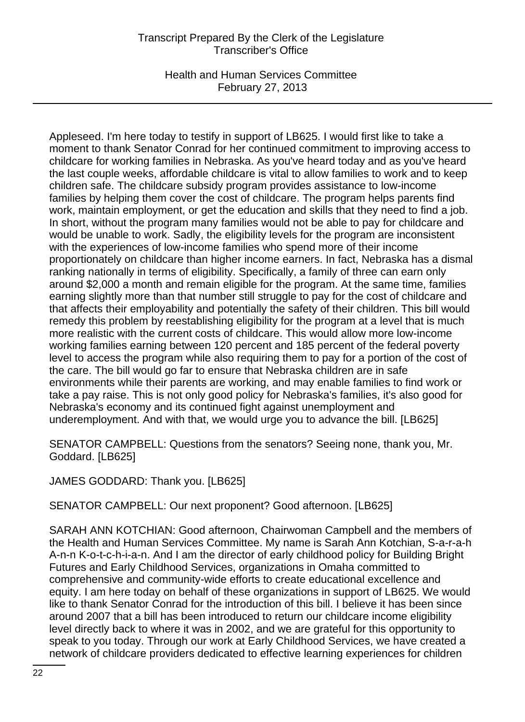Health and Human Services Committee February 27, 2013

Appleseed. I'm here today to testify in support of LB625. I would first like to take a moment to thank Senator Conrad for her continued commitment to improving access to childcare for working families in Nebraska. As you've heard today and as you've heard the last couple weeks, affordable childcare is vital to allow families to work and to keep children safe. The childcare subsidy program provides assistance to low-income families by helping them cover the cost of childcare. The program helps parents find work, maintain employment, or get the education and skills that they need to find a job. In short, without the program many families would not be able to pay for childcare and would be unable to work. Sadly, the eligibility levels for the program are inconsistent with the experiences of low-income families who spend more of their income proportionately on childcare than higher income earners. In fact, Nebraska has a dismal ranking nationally in terms of eligibility. Specifically, a family of three can earn only around \$2,000 a month and remain eligible for the program. At the same time, families earning slightly more than that number still struggle to pay for the cost of childcare and that affects their employability and potentially the safety of their children. This bill would remedy this problem by reestablishing eligibility for the program at a level that is much more realistic with the current costs of childcare. This would allow more low-income working families earning between 120 percent and 185 percent of the federal poverty level to access the program while also requiring them to pay for a portion of the cost of the care. The bill would go far to ensure that Nebraska children are in safe environments while their parents are working, and may enable families to find work or take a pay raise. This is not only good policy for Nebraska's families, it's also good for Nebraska's economy and its continued fight against unemployment and underemployment. And with that, we would urge you to advance the bill. [LB625]

SENATOR CAMPBELL: Questions from the senators? Seeing none, thank you, Mr. Goddard. [LB625]

JAMES GODDARD: Thank you. [LB625]

SENATOR CAMPBELL: Our next proponent? Good afternoon. [LB625]

SARAH ANN KOTCHIAN: Good afternoon, Chairwoman Campbell and the members of the Health and Human Services Committee. My name is Sarah Ann Kotchian, S-a-r-a-h A-n-n K-o-t-c-h-i-a-n. And I am the director of early childhood policy for Building Bright Futures and Early Childhood Services, organizations in Omaha committed to comprehensive and community-wide efforts to create educational excellence and equity. I am here today on behalf of these organizations in support of LB625. We would like to thank Senator Conrad for the introduction of this bill. I believe it has been since around 2007 that a bill has been introduced to return our childcare income eligibility level directly back to where it was in 2002, and we are grateful for this opportunity to speak to you today. Through our work at Early Childhood Services, we have created a network of childcare providers dedicated to effective learning experiences for children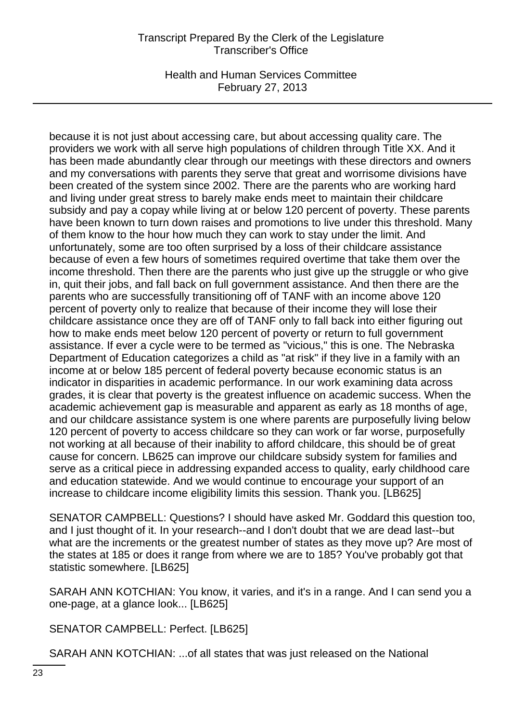Health and Human Services Committee February 27, 2013

because it is not just about accessing care, but about accessing quality care. The providers we work with all serve high populations of children through Title XX. And it has been made abundantly clear through our meetings with these directors and owners and my conversations with parents they serve that great and worrisome divisions have been created of the system since 2002. There are the parents who are working hard and living under great stress to barely make ends meet to maintain their childcare subsidy and pay a copay while living at or below 120 percent of poverty. These parents have been known to turn down raises and promotions to live under this threshold. Many of them know to the hour how much they can work to stay under the limit. And unfortunately, some are too often surprised by a loss of their childcare assistance because of even a few hours of sometimes required overtime that take them over the income threshold. Then there are the parents who just give up the struggle or who give in, quit their jobs, and fall back on full government assistance. And then there are the parents who are successfully transitioning off of TANF with an income above 120 percent of poverty only to realize that because of their income they will lose their childcare assistance once they are off of TANF only to fall back into either figuring out how to make ends meet below 120 percent of poverty or return to full government assistance. If ever a cycle were to be termed as "vicious," this is one. The Nebraska Department of Education categorizes a child as "at risk" if they live in a family with an income at or below 185 percent of federal poverty because economic status is an indicator in disparities in academic performance. In our work examining data across grades, it is clear that poverty is the greatest influence on academic success. When the academic achievement gap is measurable and apparent as early as 18 months of age, and our childcare assistance system is one where parents are purposefully living below 120 percent of poverty to access childcare so they can work or far worse, purposefully not working at all because of their inability to afford childcare, this should be of great cause for concern. LB625 can improve our childcare subsidy system for families and serve as a critical piece in addressing expanded access to quality, early childhood care and education statewide. And we would continue to encourage your support of an increase to childcare income eligibility limits this session. Thank you. [LB625]

SENATOR CAMPBELL: Questions? I should have asked Mr. Goddard this question too, and I just thought of it. In your research--and I don't doubt that we are dead last--but what are the increments or the greatest number of states as they move up? Are most of the states at 185 or does it range from where we are to 185? You've probably got that statistic somewhere. [LB625]

SARAH ANN KOTCHIAN: You know, it varies, and it's in a range. And I can send you a one-page, at a glance look... [LB625]

SENATOR CAMPBELL: Perfect. [LB625]

SARAH ANN KOTCHIAN: ...of all states that was just released on the National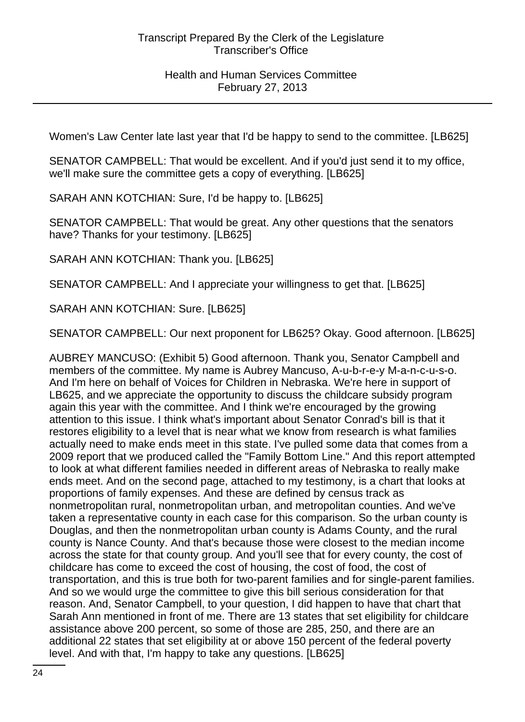Women's Law Center late last year that I'd be happy to send to the committee. [LB625]

SENATOR CAMPBELL: That would be excellent. And if you'd just send it to my office, we'll make sure the committee gets a copy of everything. [LB625]

SARAH ANN KOTCHIAN: Sure, I'd be happy to. [LB625]

SENATOR CAMPBELL: That would be great. Any other questions that the senators have? Thanks for your testimony. [LB625]

SARAH ANN KOTCHIAN: Thank you. [LB625]

SENATOR CAMPBELL: And I appreciate your willingness to get that. [LB625]

SARAH ANN KOTCHIAN: Sure. [LB625]

SENATOR CAMPBELL: Our next proponent for LB625? Okay. Good afternoon. [LB625]

AUBREY MANCUSO: (Exhibit 5) Good afternoon. Thank you, Senator Campbell and members of the committee. My name is Aubrey Mancuso, A-u-b-r-e-y M-a-n-c-u-s-o. And I'm here on behalf of Voices for Children in Nebraska. We're here in support of LB625, and we appreciate the opportunity to discuss the childcare subsidy program again this year with the committee. And I think we're encouraged by the growing attention to this issue. I think what's important about Senator Conrad's bill is that it restores eligibility to a level that is near what we know from research is what families actually need to make ends meet in this state. I've pulled some data that comes from a 2009 report that we produced called the "Family Bottom Line." And this report attempted to look at what different families needed in different areas of Nebraska to really make ends meet. And on the second page, attached to my testimony, is a chart that looks at proportions of family expenses. And these are defined by census track as nonmetropolitan rural, nonmetropolitan urban, and metropolitan counties. And we've taken a representative county in each case for this comparison. So the urban county is Douglas, and then the nonmetropolitan urban county is Adams County, and the rural county is Nance County. And that's because those were closest to the median income across the state for that county group. And you'll see that for every county, the cost of childcare has come to exceed the cost of housing, the cost of food, the cost of transportation, and this is true both for two-parent families and for single-parent families. And so we would urge the committee to give this bill serious consideration for that reason. And, Senator Campbell, to your question, I did happen to have that chart that Sarah Ann mentioned in front of me. There are 13 states that set eligibility for childcare assistance above 200 percent, so some of those are 285, 250, and there are an additional 22 states that set eligibility at or above 150 percent of the federal poverty level. And with that, I'm happy to take any questions. [LB625]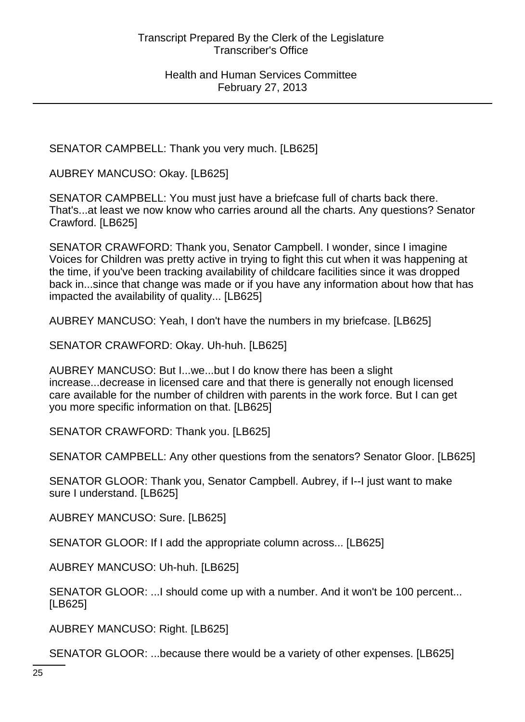SENATOR CAMPBELL: Thank you very much. [LB625]

AUBREY MANCUSO: Okay. [LB625]

SENATOR CAMPBELL: You must just have a briefcase full of charts back there. That's...at least we now know who carries around all the charts. Any questions? Senator Crawford. [LB625]

SENATOR CRAWFORD: Thank you, Senator Campbell. I wonder, since I imagine Voices for Children was pretty active in trying to fight this cut when it was happening at the time, if you've been tracking availability of childcare facilities since it was dropped back in...since that change was made or if you have any information about how that has impacted the availability of quality... [LB625]

AUBREY MANCUSO: Yeah, I don't have the numbers in my briefcase. [LB625]

SENATOR CRAWFORD: Okay. Uh-huh. [LB625]

AUBREY MANCUSO: But I...we...but I do know there has been a slight increase...decrease in licensed care and that there is generally not enough licensed care available for the number of children with parents in the work force. But I can get you more specific information on that. [LB625]

SENATOR CRAWFORD: Thank you. [LB625]

SENATOR CAMPBELL: Any other questions from the senators? Senator Gloor. [LB625]

SENATOR GLOOR: Thank you, Senator Campbell. Aubrey, if I--I just want to make sure I understand. [LB625]

AUBREY MANCUSO: Sure. [LB625]

SENATOR GLOOR: If I add the appropriate column across... [LB625]

AUBREY MANCUSO: Uh-huh. [LB625]

SENATOR GLOOR: ...I should come up with a number. And it won't be 100 percent... [LB625]

AUBREY MANCUSO: Right. [LB625]

SENATOR GLOOR: ...because there would be a variety of other expenses. [LB625]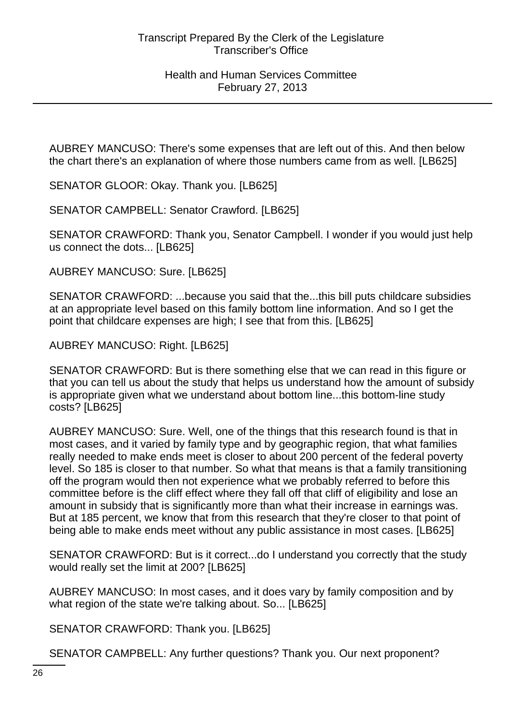AUBREY MANCUSO: There's some expenses that are left out of this. And then below the chart there's an explanation of where those numbers came from as well. [LB625]

SENATOR GLOOR: Okay. Thank you. [LB625]

SENATOR CAMPBELL: Senator Crawford. [LB625]

SENATOR CRAWFORD: Thank you, Senator Campbell. I wonder if you would just help us connect the dots... [LB625]

AUBREY MANCUSO: Sure. [LB625]

SENATOR CRAWFORD: ...because you said that the...this bill puts childcare subsidies at an appropriate level based on this family bottom line information. And so I get the point that childcare expenses are high; I see that from this. [LB625]

AUBREY MANCUSO: Right. [LB625]

SENATOR CRAWFORD: But is there something else that we can read in this figure or that you can tell us about the study that helps us understand how the amount of subsidy is appropriate given what we understand about bottom line...this bottom-line study costs? [LB625]

AUBREY MANCUSO: Sure. Well, one of the things that this research found is that in most cases, and it varied by family type and by geographic region, that what families really needed to make ends meet is closer to about 200 percent of the federal poverty level. So 185 is closer to that number. So what that means is that a family transitioning off the program would then not experience what we probably referred to before this committee before is the cliff effect where they fall off that cliff of eligibility and lose an amount in subsidy that is significantly more than what their increase in earnings was. But at 185 percent, we know that from this research that they're closer to that point of being able to make ends meet without any public assistance in most cases. [LB625]

SENATOR CRAWFORD: But is it correct...do I understand you correctly that the study would really set the limit at 200? [LB625]

AUBREY MANCUSO: In most cases, and it does vary by family composition and by what region of the state we're talking about. So... [LB625]

SENATOR CRAWFORD: Thank you. [LB625]

SENATOR CAMPBELL: Any further questions? Thank you. Our next proponent?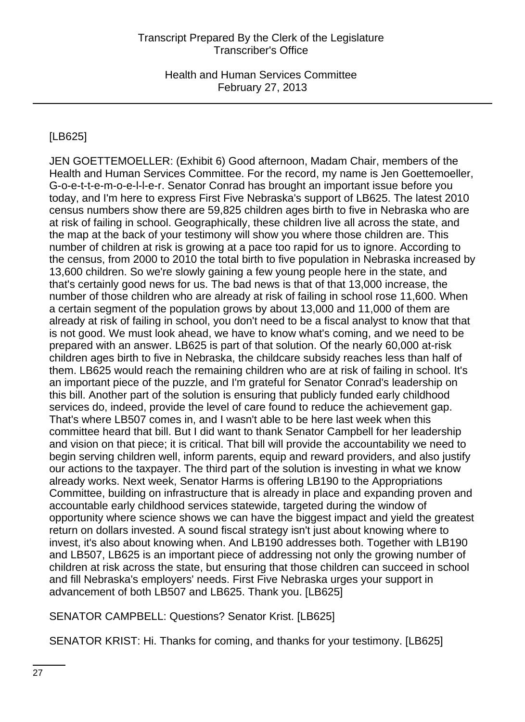# [LB625]

JEN GOETTEMOELLER: (Exhibit 6) Good afternoon, Madam Chair, members of the Health and Human Services Committee. For the record, my name is Jen Goettemoeller, G-o-e-t-t-e-m-o-e-l-l-e-r. Senator Conrad has brought an important issue before you today, and I'm here to express First Five Nebraska's support of LB625. The latest 2010 census numbers show there are 59,825 children ages birth to five in Nebraska who are at risk of failing in school. Geographically, these children live all across the state, and the map at the back of your testimony will show you where those children are. This number of children at risk is growing at a pace too rapid for us to ignore. According to the census, from 2000 to 2010 the total birth to five population in Nebraska increased by 13,600 children. So we're slowly gaining a few young people here in the state, and that's certainly good news for us. The bad news is that of that 13,000 increase, the number of those children who are already at risk of failing in school rose 11,600. When a certain segment of the population grows by about 13,000 and 11,000 of them are already at risk of failing in school, you don't need to be a fiscal analyst to know that that is not good. We must look ahead, we have to know what's coming, and we need to be prepared with an answer. LB625 is part of that solution. Of the nearly 60,000 at-risk children ages birth to five in Nebraska, the childcare subsidy reaches less than half of them. LB625 would reach the remaining children who are at risk of failing in school. It's an important piece of the puzzle, and I'm grateful for Senator Conrad's leadership on this bill. Another part of the solution is ensuring that publicly funded early childhood services do, indeed, provide the level of care found to reduce the achievement gap. That's where LB507 comes in, and I wasn't able to be here last week when this committee heard that bill. But I did want to thank Senator Campbell for her leadership and vision on that piece; it is critical. That bill will provide the accountability we need to begin serving children well, inform parents, equip and reward providers, and also justify our actions to the taxpayer. The third part of the solution is investing in what we know already works. Next week, Senator Harms is offering LB190 to the Appropriations Committee, building on infrastructure that is already in place and expanding proven and accountable early childhood services statewide, targeted during the window of opportunity where science shows we can have the biggest impact and yield the greatest return on dollars invested. A sound fiscal strategy isn't just about knowing where to invest, it's also about knowing when. And LB190 addresses both. Together with LB190 and LB507, LB625 is an important piece of addressing not only the growing number of children at risk across the state, but ensuring that those children can succeed in school and fill Nebraska's employers' needs. First Five Nebraska urges your support in advancement of both LB507 and LB625. Thank you. [LB625]

SENATOR CAMPBELL: Questions? Senator Krist. [LB625]

SENATOR KRIST: Hi. Thanks for coming, and thanks for your testimony. [LB625]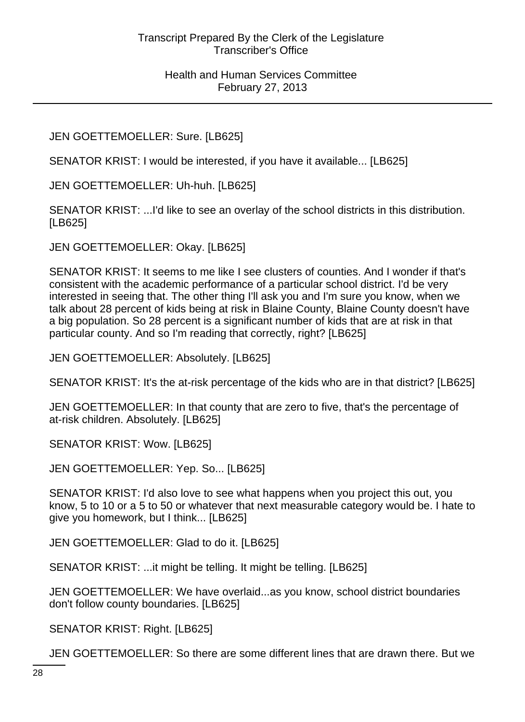# JEN GOETTEMOELLER: Sure. [LB625]

SENATOR KRIST: I would be interested, if you have it available... [LB625]

JEN GOETTEMOELLER: Uh-huh. [LB625]

SENATOR KRIST: ...I'd like to see an overlay of the school districts in this distribution. [LB625]

JEN GOETTEMOELLER: Okay. [LB625]

SENATOR KRIST: It seems to me like I see clusters of counties. And I wonder if that's consistent with the academic performance of a particular school district. I'd be very interested in seeing that. The other thing I'll ask you and I'm sure you know, when we talk about 28 percent of kids being at risk in Blaine County, Blaine County doesn't have a big population. So 28 percent is a significant number of kids that are at risk in that particular county. And so I'm reading that correctly, right? [LB625]

JEN GOETTEMOELLER: Absolutely. [LB625]

SENATOR KRIST: It's the at-risk percentage of the kids who are in that district? [LB625]

JEN GOETTEMOELLER: In that county that are zero to five, that's the percentage of at-risk children. Absolutely. [LB625]

SENATOR KRIST: Wow. [LB625]

JEN GOETTEMOELLER: Yep. So... [LB625]

SENATOR KRIST: I'd also love to see what happens when you project this out, you know, 5 to 10 or a 5 to 50 or whatever that next measurable category would be. I hate to give you homework, but I think... [LB625]

JEN GOETTEMOELLER: Glad to do it. [LB625]

SENATOR KRIST: ...it might be telling. It might be telling. [LB625]

JEN GOETTEMOELLER: We have overlaid...as you know, school district boundaries don't follow county boundaries. [LB625]

SENATOR KRIST: Right. [LB625]

JEN GOETTEMOELLER: So there are some different lines that are drawn there. But we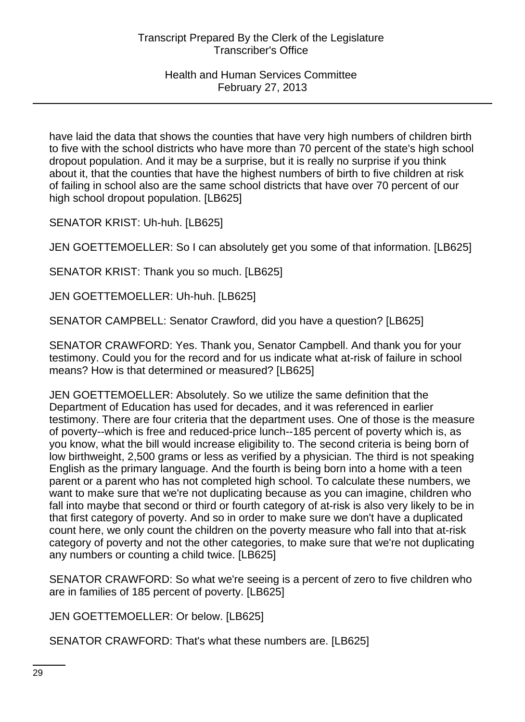have laid the data that shows the counties that have very high numbers of children birth to five with the school districts who have more than 70 percent of the state's high school dropout population. And it may be a surprise, but it is really no surprise if you think about it, that the counties that have the highest numbers of birth to five children at risk of failing in school also are the same school districts that have over 70 percent of our high school dropout population. [LB625]

SENATOR KRIST: Uh-huh. [LB625]

JEN GOETTEMOELLER: So I can absolutely get you some of that information. [LB625]

SENATOR KRIST: Thank you so much. [LB625]

JEN GOETTEMOELLER: Uh-huh. [LB625]

SENATOR CAMPBELL: Senator Crawford, did you have a question? [LB625]

SENATOR CRAWFORD: Yes. Thank you, Senator Campbell. And thank you for your testimony. Could you for the record and for us indicate what at-risk of failure in school means? How is that determined or measured? [LB625]

JEN GOETTEMOELLER: Absolutely. So we utilize the same definition that the Department of Education has used for decades, and it was referenced in earlier testimony. There are four criteria that the department uses. One of those is the measure of poverty--which is free and reduced-price lunch--185 percent of poverty which is, as you know, what the bill would increase eligibility to. The second criteria is being born of low birthweight, 2,500 grams or less as verified by a physician. The third is not speaking English as the primary language. And the fourth is being born into a home with a teen parent or a parent who has not completed high school. To calculate these numbers, we want to make sure that we're not duplicating because as you can imagine, children who fall into maybe that second or third or fourth category of at-risk is also very likely to be in that first category of poverty. And so in order to make sure we don't have a duplicated count here, we only count the children on the poverty measure who fall into that at-risk category of poverty and not the other categories, to make sure that we're not duplicating any numbers or counting a child twice. [LB625]

SENATOR CRAWFORD: So what we're seeing is a percent of zero to five children who are in families of 185 percent of poverty. [LB625]

JEN GOETTEMOELLER: Or below. [LB625]

SENATOR CRAWFORD: That's what these numbers are. [LB625]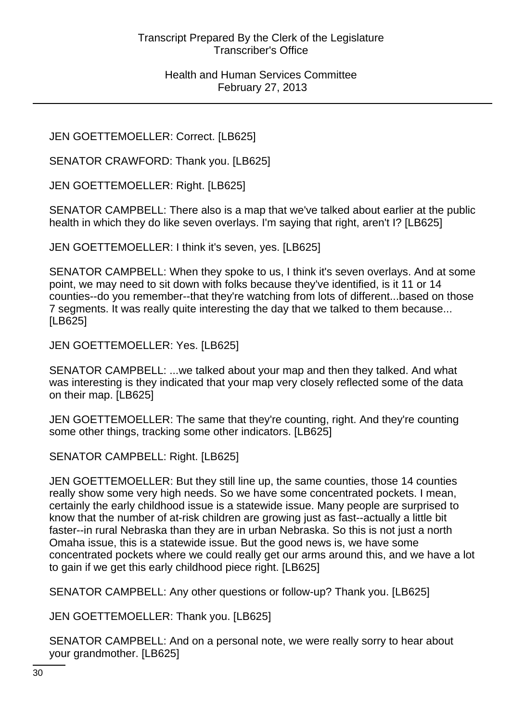JEN GOETTEMOELLER: Correct. [LB625]

SENATOR CRAWFORD: Thank you. [LB625]

JEN GOETTEMOELLER: Right. [LB625]

SENATOR CAMPBELL: There also is a map that we've talked about earlier at the public health in which they do like seven overlays. I'm saying that right, aren't I? [LB625]

JEN GOETTEMOELLER: I think it's seven, yes. [LB625]

SENATOR CAMPBELL: When they spoke to us, I think it's seven overlays. And at some point, we may need to sit down with folks because they've identified, is it 11 or 14 counties--do you remember--that they're watching from lots of different...based on those 7 segments. It was really quite interesting the day that we talked to them because... [LB625]

JEN GOETTEMOELLER: Yes. [LB625]

SENATOR CAMPBELL: ...we talked about your map and then they talked. And what was interesting is they indicated that your map very closely reflected some of the data on their map. [LB625]

JEN GOETTEMOELLER: The same that they're counting, right. And they're counting some other things, tracking some other indicators. [LB625]

SENATOR CAMPBELL: Right. [LB625]

JEN GOETTEMOELLER: But they still line up, the same counties, those 14 counties really show some very high needs. So we have some concentrated pockets. I mean, certainly the early childhood issue is a statewide issue. Many people are surprised to know that the number of at-risk children are growing just as fast--actually a little bit faster--in rural Nebraska than they are in urban Nebraska. So this is not just a north Omaha issue, this is a statewide issue. But the good news is, we have some concentrated pockets where we could really get our arms around this, and we have a lot to gain if we get this early childhood piece right. [LB625]

SENATOR CAMPBELL: Any other questions or follow-up? Thank you. [LB625]

JEN GOETTEMOELLER: Thank you. [LB625]

SENATOR CAMPBELL: And on a personal note, we were really sorry to hear about your grandmother. [LB625]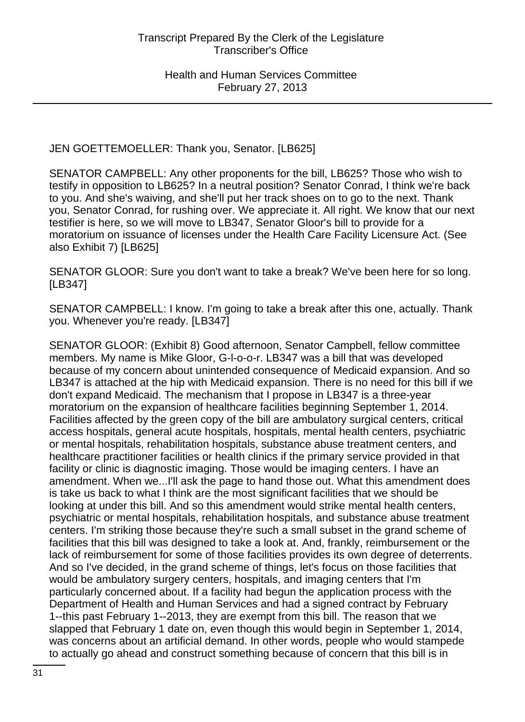JEN GOETTEMOELLER: Thank you, Senator. [LB625]

SENATOR CAMPBELL: Any other proponents for the bill, LB625? Those who wish to testify in opposition to LB625? In a neutral position? Senator Conrad, I think we're back to you. And she's waiving, and she'll put her track shoes on to go to the next. Thank you, Senator Conrad, for rushing over. We appreciate it. All right. We know that our next testifier is here, so we will move to LB347, Senator Gloor's bill to provide for a moratorium on issuance of licenses under the Health Care Facility Licensure Act. (See also Exhibit 7) [LB625]

SENATOR GLOOR: Sure you don't want to take a break? We've been here for so long. [LB347]

SENATOR CAMPBELL: I know. I'm going to take a break after this one, actually. Thank you. Whenever you're ready. [LB347]

SENATOR GLOOR: (Exhibit 8) Good afternoon, Senator Campbell, fellow committee members. My name is Mike Gloor, G-l-o-o-r. LB347 was a bill that was developed because of my concern about unintended consequence of Medicaid expansion. And so LB347 is attached at the hip with Medicaid expansion. There is no need for this bill if we don't expand Medicaid. The mechanism that I propose in LB347 is a three-year moratorium on the expansion of healthcare facilities beginning September 1, 2014. Facilities affected by the green copy of the bill are ambulatory surgical centers, critical access hospitals, general acute hospitals, hospitals, mental health centers, psychiatric or mental hospitals, rehabilitation hospitals, substance abuse treatment centers, and healthcare practitioner facilities or health clinics if the primary service provided in that facility or clinic is diagnostic imaging. Those would be imaging centers. I have an amendment. When we...I'll ask the page to hand those out. What this amendment does is take us back to what I think are the most significant facilities that we should be looking at under this bill. And so this amendment would strike mental health centers, psychiatric or mental hospitals, rehabilitation hospitals, and substance abuse treatment centers. I'm striking those because they're such a small subset in the grand scheme of facilities that this bill was designed to take a look at. And, frankly, reimbursement or the lack of reimbursement for some of those facilities provides its own degree of deterrents. And so I've decided, in the grand scheme of things, let's focus on those facilities that would be ambulatory surgery centers, hospitals, and imaging centers that I'm particularly concerned about. If a facility had begun the application process with the Department of Health and Human Services and had a signed contract by February 1--this past February 1--2013, they are exempt from this bill. The reason that we slapped that February 1 date on, even though this would begin in September 1, 2014, was concerns about an artificial demand. In other words, people who would stampede to actually go ahead and construct something because of concern that this bill is in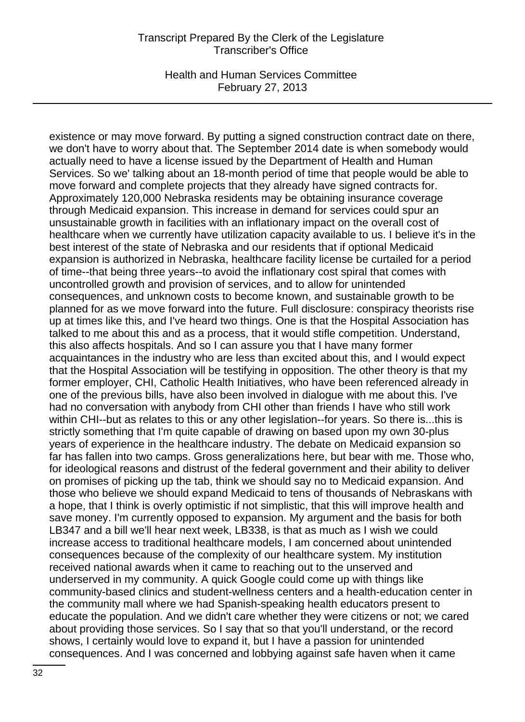Health and Human Services Committee February 27, 2013

existence or may move forward. By putting a signed construction contract date on there, we don't have to worry about that. The September 2014 date is when somebody would actually need to have a license issued by the Department of Health and Human Services. So we' talking about an 18-month period of time that people would be able to move forward and complete projects that they already have signed contracts for. Approximately 120,000 Nebraska residents may be obtaining insurance coverage through Medicaid expansion. This increase in demand for services could spur an unsustainable growth in facilities with an inflationary impact on the overall cost of healthcare when we currently have utilization capacity available to us. I believe it's in the best interest of the state of Nebraska and our residents that if optional Medicaid expansion is authorized in Nebraska, healthcare facility license be curtailed for a period of time--that being three years--to avoid the inflationary cost spiral that comes with uncontrolled growth and provision of services, and to allow for unintended consequences, and unknown costs to become known, and sustainable growth to be planned for as we move forward into the future. Full disclosure: conspiracy theorists rise up at times like this, and I've heard two things. One is that the Hospital Association has talked to me about this and as a process, that it would stifle competition. Understand, this also affects hospitals. And so I can assure you that I have many former acquaintances in the industry who are less than excited about this, and I would expect that the Hospital Association will be testifying in opposition. The other theory is that my former employer, CHI, Catholic Health Initiatives, who have been referenced already in one of the previous bills, have also been involved in dialogue with me about this. I've had no conversation with anybody from CHI other than friends I have who still work within CHI--but as relates to this or any other legislation--for years. So there is...this is strictly something that I'm quite capable of drawing on based upon my own 30-plus years of experience in the healthcare industry. The debate on Medicaid expansion so far has fallen into two camps. Gross generalizations here, but bear with me. Those who, for ideological reasons and distrust of the federal government and their ability to deliver on promises of picking up the tab, think we should say no to Medicaid expansion. And those who believe we should expand Medicaid to tens of thousands of Nebraskans with a hope, that I think is overly optimistic if not simplistic, that this will improve health and save money. I'm currently opposed to expansion. My argument and the basis for both LB347 and a bill we'll hear next week, LB338, is that as much as I wish we could increase access to traditional healthcare models, I am concerned about unintended consequences because of the complexity of our healthcare system. My institution received national awards when it came to reaching out to the unserved and underserved in my community. A quick Google could come up with things like community-based clinics and student-wellness centers and a health-education center in the community mall where we had Spanish-speaking health educators present to educate the population. And we didn't care whether they were citizens or not; we cared about providing those services. So I say that so that you'll understand, or the record shows, I certainly would love to expand it, but I have a passion for unintended consequences. And I was concerned and lobbying against safe haven when it came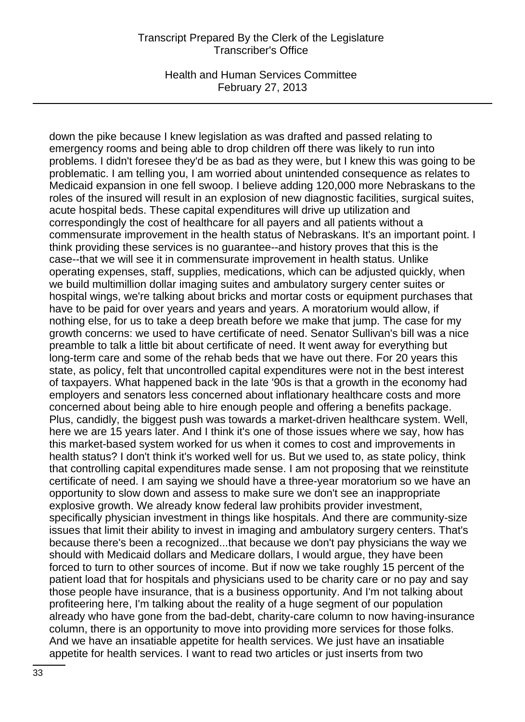Health and Human Services Committee February 27, 2013

down the pike because I knew legislation as was drafted and passed relating to emergency rooms and being able to drop children off there was likely to run into problems. I didn't foresee they'd be as bad as they were, but I knew this was going to be problematic. I am telling you, I am worried about unintended consequence as relates to Medicaid expansion in one fell swoop. I believe adding 120,000 more Nebraskans to the roles of the insured will result in an explosion of new diagnostic facilities, surgical suites, acute hospital beds. These capital expenditures will drive up utilization and correspondingly the cost of healthcare for all payers and all patients without a commensurate improvement in the health status of Nebraskans. It's an important point. I think providing these services is no guarantee--and history proves that this is the case--that we will see it in commensurate improvement in health status. Unlike operating expenses, staff, supplies, medications, which can be adjusted quickly, when we build multimillion dollar imaging suites and ambulatory surgery center suites or hospital wings, we're talking about bricks and mortar costs or equipment purchases that have to be paid for over years and years and years. A moratorium would allow, if nothing else, for us to take a deep breath before we make that jump. The case for my growth concerns: we used to have certificate of need. Senator Sullivan's bill was a nice preamble to talk a little bit about certificate of need. It went away for everything but long-term care and some of the rehab beds that we have out there. For 20 years this state, as policy, felt that uncontrolled capital expenditures were not in the best interest of taxpayers. What happened back in the late '90s is that a growth in the economy had employers and senators less concerned about inflationary healthcare costs and more concerned about being able to hire enough people and offering a benefits package. Plus, candidly, the biggest push was towards a market-driven healthcare system. Well, here we are 15 years later. And I think it's one of those issues where we say, how has this market-based system worked for us when it comes to cost and improvements in health status? I don't think it's worked well for us. But we used to, as state policy, think that controlling capital expenditures made sense. I am not proposing that we reinstitute certificate of need. I am saying we should have a three-year moratorium so we have an opportunity to slow down and assess to make sure we don't see an inappropriate explosive growth. We already know federal law prohibits provider investment, specifically physician investment in things like hospitals. And there are community-size issues that limit their ability to invest in imaging and ambulatory surgery centers. That's because there's been a recognized...that because we don't pay physicians the way we should with Medicaid dollars and Medicare dollars, I would argue, they have been forced to turn to other sources of income. But if now we take roughly 15 percent of the patient load that for hospitals and physicians used to be charity care or no pay and say those people have insurance, that is a business opportunity. And I'm not talking about profiteering here, I'm talking about the reality of a huge segment of our population already who have gone from the bad-debt, charity-care column to now having-insurance column, there is an opportunity to move into providing more services for those folks. And we have an insatiable appetite for health services. We just have an insatiable appetite for health services. I want to read two articles or just inserts from two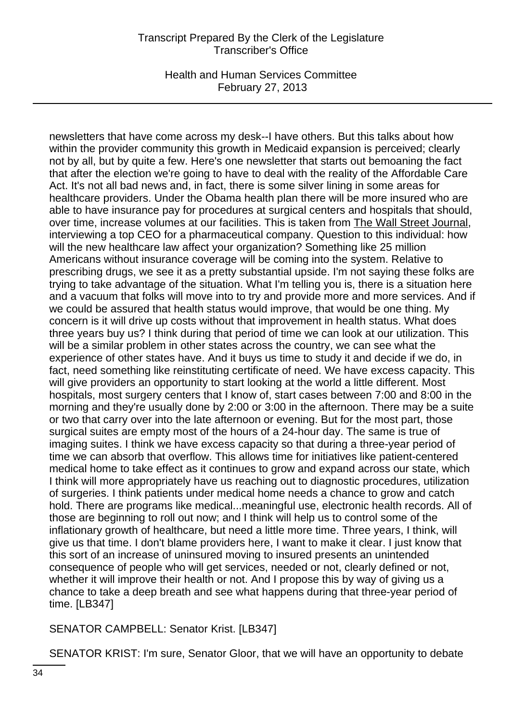Health and Human Services Committee February 27, 2013

newsletters that have come across my desk--I have others. But this talks about how within the provider community this growth in Medicaid expansion is perceived; clearly not by all, but by quite a few. Here's one newsletter that starts out bemoaning the fact that after the election we're going to have to deal with the reality of the Affordable Care Act. It's not all bad news and, in fact, there is some silver lining in some areas for healthcare providers. Under the Obama health plan there will be more insured who are able to have insurance pay for procedures at surgical centers and hospitals that should, over time, increase volumes at our facilities. This is taken from The Wall Street Journal, interviewing a top CEO for a pharmaceutical company. Question to this individual: how will the new healthcare law affect your organization? Something like 25 million Americans without insurance coverage will be coming into the system. Relative to prescribing drugs, we see it as a pretty substantial upside. I'm not saying these folks are trying to take advantage of the situation. What I'm telling you is, there is a situation here and a vacuum that folks will move into to try and provide more and more services. And if we could be assured that health status would improve, that would be one thing. My concern is it will drive up costs without that improvement in health status. What does three years buy us? I think during that period of time we can look at our utilization. This will be a similar problem in other states across the country, we can see what the experience of other states have. And it buys us time to study it and decide if we do, in fact, need something like reinstituting certificate of need. We have excess capacity. This will give providers an opportunity to start looking at the world a little different. Most hospitals, most surgery centers that I know of, start cases between 7:00 and 8:00 in the morning and they're usually done by 2:00 or 3:00 in the afternoon. There may be a suite or two that carry over into the late afternoon or evening. But for the most part, those surgical suites are empty most of the hours of a 24-hour day. The same is true of imaging suites. I think we have excess capacity so that during a three-year period of time we can absorb that overflow. This allows time for initiatives like patient-centered medical home to take effect as it continues to grow and expand across our state, which I think will more appropriately have us reaching out to diagnostic procedures, utilization of surgeries. I think patients under medical home needs a chance to grow and catch hold. There are programs like medical...meaningful use, electronic health records. All of those are beginning to roll out now; and I think will help us to control some of the inflationary growth of healthcare, but need a little more time. Three years, I think, will give us that time. I don't blame providers here, I want to make it clear. I just know that this sort of an increase of uninsured moving to insured presents an unintended consequence of people who will get services, needed or not, clearly defined or not, whether it will improve their health or not. And I propose this by way of giving us a chance to take a deep breath and see what happens during that three-year period of time. [LB347]

SENATOR CAMPBELL: Senator Krist. [LB347]

SENATOR KRIST: I'm sure, Senator Gloor, that we will have an opportunity to debate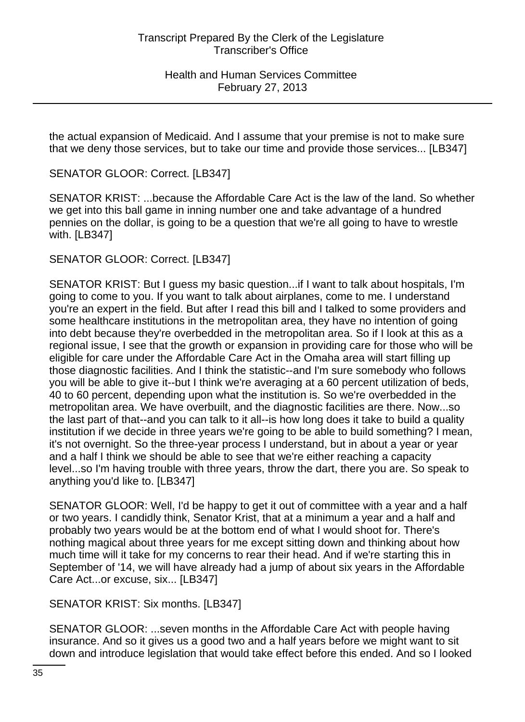the actual expansion of Medicaid. And I assume that your premise is not to make sure that we deny those services, but to take our time and provide those services... [LB347]

SENATOR GLOOR: Correct. [LB347]

SENATOR KRIST: ...because the Affordable Care Act is the law of the land. So whether we get into this ball game in inning number one and take advantage of a hundred pennies on the dollar, is going to be a question that we're all going to have to wrestle with. [LB347]

SENATOR GLOOR: Correct. [LB347]

SENATOR KRIST: But I guess my basic question...if I want to talk about hospitals, I'm going to come to you. If you want to talk about airplanes, come to me. I understand you're an expert in the field. But after I read this bill and I talked to some providers and some healthcare institutions in the metropolitan area, they have no intention of going into debt because they're overbedded in the metropolitan area. So if I look at this as a regional issue, I see that the growth or expansion in providing care for those who will be eligible for care under the Affordable Care Act in the Omaha area will start filling up those diagnostic facilities. And I think the statistic--and I'm sure somebody who follows you will be able to give it--but I think we're averaging at a 60 percent utilization of beds, 40 to 60 percent, depending upon what the institution is. So we're overbedded in the metropolitan area. We have overbuilt, and the diagnostic facilities are there. Now...so the last part of that--and you can talk to it all--is how long does it take to build a quality institution if we decide in three years we're going to be able to build something? I mean, it's not overnight. So the three-year process I understand, but in about a year or year and a half I think we should be able to see that we're either reaching a capacity level...so I'm having trouble with three years, throw the dart, there you are. So speak to anything you'd like to. [LB347]

SENATOR GLOOR: Well, I'd be happy to get it out of committee with a year and a half or two years. I candidly think, Senator Krist, that at a minimum a year and a half and probably two years would be at the bottom end of what I would shoot for. There's nothing magical about three years for me except sitting down and thinking about how much time will it take for my concerns to rear their head. And if we're starting this in September of '14, we will have already had a jump of about six years in the Affordable Care Act...or excuse, six... [LB347]

SENATOR KRIST: Six months. [LB347]

SENATOR GLOOR: ...seven months in the Affordable Care Act with people having insurance. And so it gives us a good two and a half years before we might want to sit down and introduce legislation that would take effect before this ended. And so I looked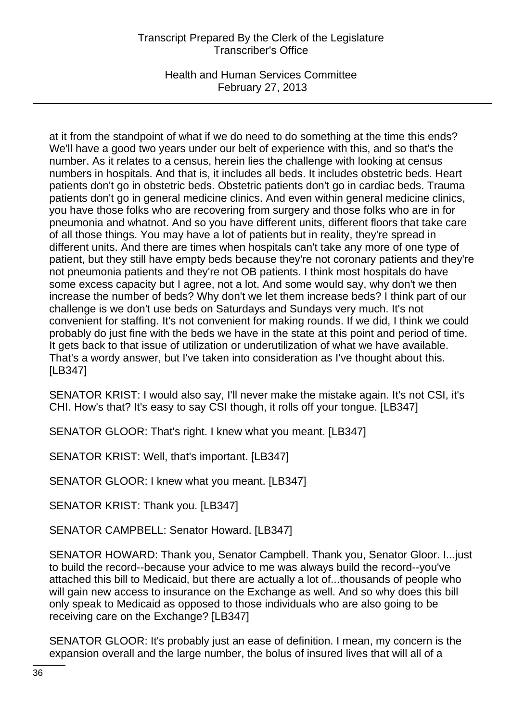Health and Human Services Committee February 27, 2013

at it from the standpoint of what if we do need to do something at the time this ends? We'll have a good two years under our belt of experience with this, and so that's the number. As it relates to a census, herein lies the challenge with looking at census numbers in hospitals. And that is, it includes all beds. It includes obstetric beds. Heart patients don't go in obstetric beds. Obstetric patients don't go in cardiac beds. Trauma patients don't go in general medicine clinics. And even within general medicine clinics, you have those folks who are recovering from surgery and those folks who are in for pneumonia and whatnot. And so you have different units, different floors that take care of all those things. You may have a lot of patients but in reality, they're spread in different units. And there are times when hospitals can't take any more of one type of patient, but they still have empty beds because they're not coronary patients and they're not pneumonia patients and they're not OB patients. I think most hospitals do have some excess capacity but I agree, not a lot. And some would say, why don't we then increase the number of beds? Why don't we let them increase beds? I think part of our challenge is we don't use beds on Saturdays and Sundays very much. It's not convenient for staffing. It's not convenient for making rounds. If we did, I think we could probably do just fine with the beds we have in the state at this point and period of time. It gets back to that issue of utilization or underutilization of what we have available. That's a wordy answer, but I've taken into consideration as I've thought about this. [LB347]

SENATOR KRIST: I would also say, I'll never make the mistake again. It's not CSI, it's CHI. How's that? It's easy to say CSI though, it rolls off your tongue. [LB347]

SENATOR GLOOR: That's right. I knew what you meant. [LB347]

SENATOR KRIST: Well, that's important. [LB347]

SENATOR GLOOR: I knew what you meant. [LB347]

SENATOR KRIST: Thank you. [LB347]

SENATOR CAMPBELL: Senator Howard. [LB347]

SENATOR HOWARD: Thank you, Senator Campbell. Thank you, Senator Gloor. I...just to build the record--because your advice to me was always build the record--you've attached this bill to Medicaid, but there are actually a lot of...thousands of people who will gain new access to insurance on the Exchange as well. And so why does this bill only speak to Medicaid as opposed to those individuals who are also going to be receiving care on the Exchange? [LB347]

SENATOR GLOOR: It's probably just an ease of definition. I mean, my concern is the expansion overall and the large number, the bolus of insured lives that will all of a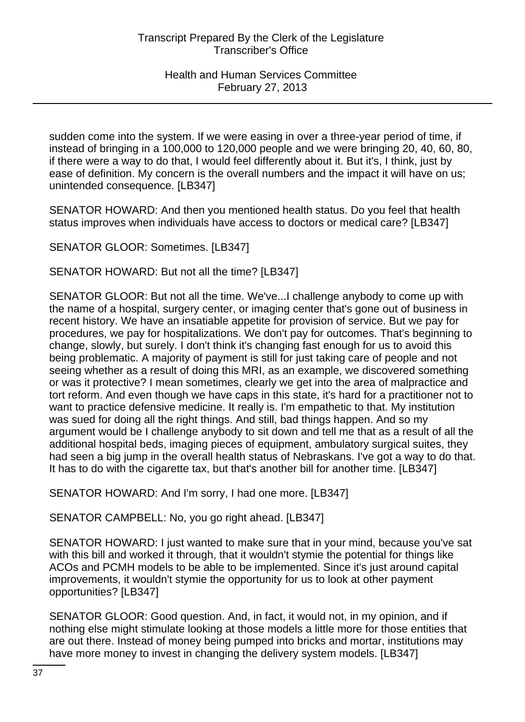sudden come into the system. If we were easing in over a three-year period of time, if instead of bringing in a 100,000 to 120,000 people and we were bringing 20, 40, 60, 80, if there were a way to do that, I would feel differently about it. But it's, I think, just by ease of definition. My concern is the overall numbers and the impact it will have on us; unintended consequence. [LB347]

SENATOR HOWARD: And then you mentioned health status. Do you feel that health status improves when individuals have access to doctors or medical care? [LB347]

SENATOR GLOOR: Sometimes. [LB347]

SENATOR HOWARD: But not all the time? [LB347]

SENATOR GLOOR: But not all the time. We've...I challenge anybody to come up with the name of a hospital, surgery center, or imaging center that's gone out of business in recent history. We have an insatiable appetite for provision of service. But we pay for procedures, we pay for hospitalizations. We don't pay for outcomes. That's beginning to change, slowly, but surely. I don't think it's changing fast enough for us to avoid this being problematic. A majority of payment is still for just taking care of people and not seeing whether as a result of doing this MRI, as an example, we discovered something or was it protective? I mean sometimes, clearly we get into the area of malpractice and tort reform. And even though we have caps in this state, it's hard for a practitioner not to want to practice defensive medicine. It really is. I'm empathetic to that. My institution was sued for doing all the right things. And still, bad things happen. And so my argument would be I challenge anybody to sit down and tell me that as a result of all the additional hospital beds, imaging pieces of equipment, ambulatory surgical suites, they had seen a big jump in the overall health status of Nebraskans. I've got a way to do that. It has to do with the cigarette tax, but that's another bill for another time. [LB347]

SENATOR HOWARD: And I'm sorry, I had one more. [LB347]

SENATOR CAMPBELL: No, you go right ahead. [LB347]

SENATOR HOWARD: I just wanted to make sure that in your mind, because you've sat with this bill and worked it through, that it wouldn't stymie the potential for things like ACOs and PCMH models to be able to be implemented. Since it's just around capital improvements, it wouldn't stymie the opportunity for us to look at other payment opportunities? [LB347]

SENATOR GLOOR: Good question. And, in fact, it would not, in my opinion, and if nothing else might stimulate looking at those models a little more for those entities that are out there. Instead of money being pumped into bricks and mortar, institutions may have more money to invest in changing the delivery system models. [LB347]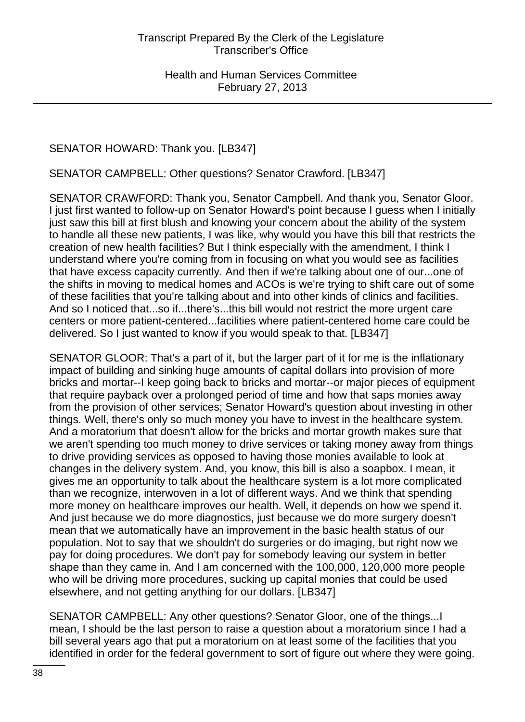# SENATOR HOWARD: Thank you. [LB347]

SENATOR CAMPBELL: Other questions? Senator Crawford. [LB347]

SENATOR CRAWFORD: Thank you, Senator Campbell. And thank you, Senator Gloor. I just first wanted to follow-up on Senator Howard's point because I guess when I initially just saw this bill at first blush and knowing your concern about the ability of the system to handle all these new patients, I was like, why would you have this bill that restricts the creation of new health facilities? But I think especially with the amendment, I think I understand where you're coming from in focusing on what you would see as facilities that have excess capacity currently. And then if we're talking about one of our...one of the shifts in moving to medical homes and ACOs is we're trying to shift care out of some of these facilities that you're talking about and into other kinds of clinics and facilities. And so I noticed that...so if...there's...this bill would not restrict the more urgent care centers or more patient-centered...facilities where patient-centered home care could be delivered. So I just wanted to know if you would speak to that. [LB347]

SENATOR GLOOR: That's a part of it, but the larger part of it for me is the inflationary impact of building and sinking huge amounts of capital dollars into provision of more bricks and mortar--I keep going back to bricks and mortar--or major pieces of equipment that require payback over a prolonged period of time and how that saps monies away from the provision of other services; Senator Howard's question about investing in other things. Well, there's only so much money you have to invest in the healthcare system. And a moratorium that doesn't allow for the bricks and mortar growth makes sure that we aren't spending too much money to drive services or taking money away from things to drive providing services as opposed to having those monies available to look at changes in the delivery system. And, you know, this bill is also a soapbox. I mean, it gives me an opportunity to talk about the healthcare system is a lot more complicated than we recognize, interwoven in a lot of different ways. And we think that spending more money on healthcare improves our health. Well, it depends on how we spend it. And just because we do more diagnostics, just because we do more surgery doesn't mean that we automatically have an improvement in the basic health status of our population. Not to say that we shouldn't do surgeries or do imaging, but right now we pay for doing procedures. We don't pay for somebody leaving our system in better shape than they came in. And I am concerned with the 100,000, 120,000 more people who will be driving more procedures, sucking up capital monies that could be used elsewhere, and not getting anything for our dollars. [LB347]

SENATOR CAMPBELL: Any other questions? Senator Gloor, one of the things...I mean, I should be the last person to raise a question about a moratorium since I had a bill several years ago that put a moratorium on at least some of the facilities that you identified in order for the federal government to sort of figure out where they were going.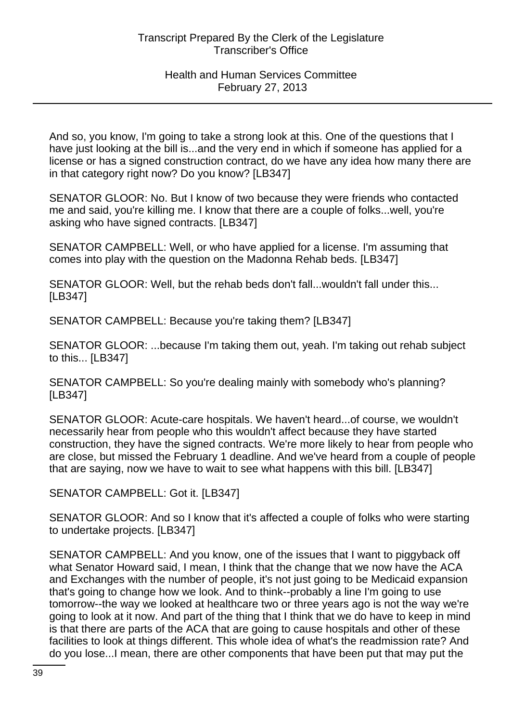And so, you know, I'm going to take a strong look at this. One of the questions that I have just looking at the bill is...and the very end in which if someone has applied for a license or has a signed construction contract, do we have any idea how many there are in that category right now? Do you know? [LB347]

SENATOR GLOOR: No. But I know of two because they were friends who contacted me and said, you're killing me. I know that there are a couple of folks...well, you're asking who have signed contracts. [LB347]

SENATOR CAMPBELL: Well, or who have applied for a license. I'm assuming that comes into play with the question on the Madonna Rehab beds. [LB347]

SENATOR GLOOR: Well, but the rehab beds don't fall...wouldn't fall under this... [LB347]

SENATOR CAMPBELL: Because you're taking them? [LB347]

SENATOR GLOOR: ...because I'm taking them out, yeah. I'm taking out rehab subject to this... [LB347]

SENATOR CAMPBELL: So you're dealing mainly with somebody who's planning? [LB347]

SENATOR GLOOR: Acute-care hospitals. We haven't heard...of course, we wouldn't necessarily hear from people who this wouldn't affect because they have started construction, they have the signed contracts. We're more likely to hear from people who are close, but missed the February 1 deadline. And we've heard from a couple of people that are saying, now we have to wait to see what happens with this bill. [LB347]

SENATOR CAMPBELL: Got it. [LB347]

SENATOR GLOOR: And so I know that it's affected a couple of folks who were starting to undertake projects. [LB347]

SENATOR CAMPBELL: And you know, one of the issues that I want to piggyback off what Senator Howard said, I mean, I think that the change that we now have the ACA and Exchanges with the number of people, it's not just going to be Medicaid expansion that's going to change how we look. And to think--probably a line I'm going to use tomorrow--the way we looked at healthcare two or three years ago is not the way we're going to look at it now. And part of the thing that I think that we do have to keep in mind is that there are parts of the ACA that are going to cause hospitals and other of these facilities to look at things different. This whole idea of what's the readmission rate? And do you lose...I mean, there are other components that have been put that may put the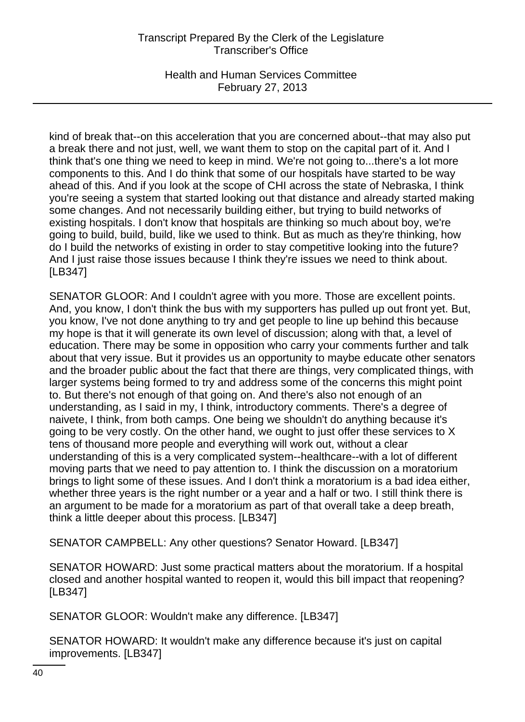Health and Human Services Committee February 27, 2013

kind of break that--on this acceleration that you are concerned about--that may also put a break there and not just, well, we want them to stop on the capital part of it. And I think that's one thing we need to keep in mind. We're not going to...there's a lot more components to this. And I do think that some of our hospitals have started to be way ahead of this. And if you look at the scope of CHI across the state of Nebraska, I think you're seeing a system that started looking out that distance and already started making some changes. And not necessarily building either, but trying to build networks of existing hospitals. I don't know that hospitals are thinking so much about boy, we're going to build, build, build, like we used to think. But as much as they're thinking, how do I build the networks of existing in order to stay competitive looking into the future? And I just raise those issues because I think they're issues we need to think about. [LB347]

SENATOR GLOOR: And I couldn't agree with you more. Those are excellent points. And, you know, I don't think the bus with my supporters has pulled up out front yet. But, you know, I've not done anything to try and get people to line up behind this because my hope is that it will generate its own level of discussion; along with that, a level of education. There may be some in opposition who carry your comments further and talk about that very issue. But it provides us an opportunity to maybe educate other senators and the broader public about the fact that there are things, very complicated things, with larger systems being formed to try and address some of the concerns this might point to. But there's not enough of that going on. And there's also not enough of an understanding, as I said in my, I think, introductory comments. There's a degree of naivete, I think, from both camps. One being we shouldn't do anything because it's going to be very costly. On the other hand, we ought to just offer these services to X tens of thousand more people and everything will work out, without a clear understanding of this is a very complicated system--healthcare--with a lot of different moving parts that we need to pay attention to. I think the discussion on a moratorium brings to light some of these issues. And I don't think a moratorium is a bad idea either, whether three years is the right number or a year and a half or two. I still think there is an argument to be made for a moratorium as part of that overall take a deep breath, think a little deeper about this process. [LB347]

SENATOR CAMPBELL: Any other questions? Senator Howard. [LB347]

SENATOR HOWARD: Just some practical matters about the moratorium. If a hospital closed and another hospital wanted to reopen it, would this bill impact that reopening? [LB347]

SENATOR GLOOR: Wouldn't make any difference. [LB347]

SENATOR HOWARD: It wouldn't make any difference because it's just on capital improvements. [LB347]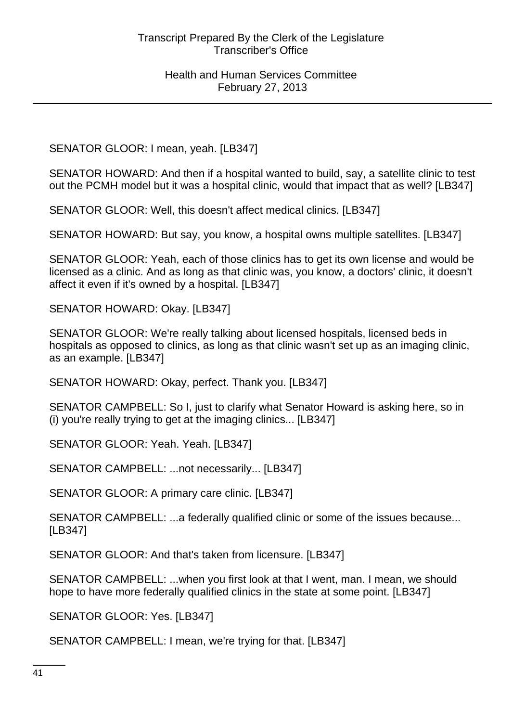SENATOR GLOOR: I mean, yeah. [LB347]

SENATOR HOWARD: And then if a hospital wanted to build, say, a satellite clinic to test out the PCMH model but it was a hospital clinic, would that impact that as well? [LB347]

SENATOR GLOOR: Well, this doesn't affect medical clinics. [LB347]

SENATOR HOWARD: But say, you know, a hospital owns multiple satellites. [LB347]

SENATOR GLOOR: Yeah, each of those clinics has to get its own license and would be licensed as a clinic. And as long as that clinic was, you know, a doctors' clinic, it doesn't affect it even if it's owned by a hospital. [LB347]

SENATOR HOWARD: Okay. [LB347]

SENATOR GLOOR: We're really talking about licensed hospitals, licensed beds in hospitals as opposed to clinics, as long as that clinic wasn't set up as an imaging clinic, as an example. [LB347]

SENATOR HOWARD: Okay, perfect. Thank you. [LB347]

SENATOR CAMPBELL: So I, just to clarify what Senator Howard is asking here, so in (i) you're really trying to get at the imaging clinics... [LB347]

SENATOR GLOOR: Yeah. Yeah. [LB347]

SENATOR CAMPBELL: ...not necessarily... [LB347]

SENATOR GLOOR: A primary care clinic. [LB347]

SENATOR CAMPBELL: ...a federally qualified clinic or some of the issues because... [LB347]

SENATOR GLOOR: And that's taken from licensure. [LB347]

SENATOR CAMPBELL: ...when you first look at that I went, man. I mean, we should hope to have more federally qualified clinics in the state at some point. [LB347]

SENATOR GLOOR: Yes. [LB347]

SENATOR CAMPBELL: I mean, we're trying for that. [LB347]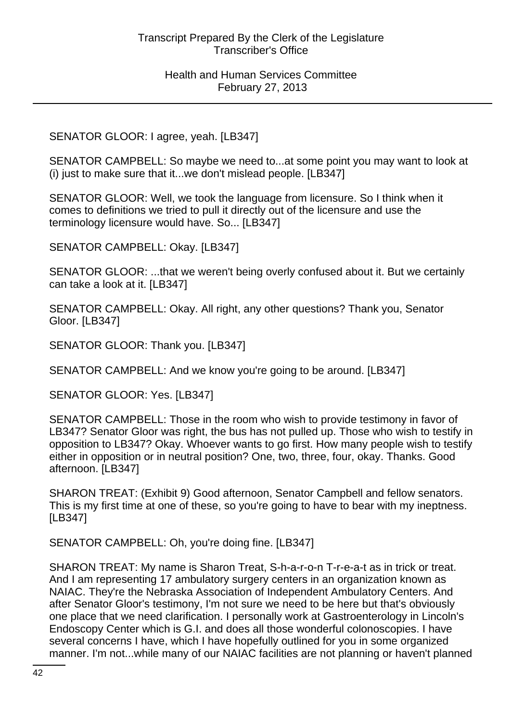# SENATOR GLOOR: I agree, yeah. [LB347]

SENATOR CAMPBELL: So maybe we need to...at some point you may want to look at (i) just to make sure that it...we don't mislead people. [LB347]

SENATOR GLOOR: Well, we took the language from licensure. So I think when it comes to definitions we tried to pull it directly out of the licensure and use the terminology licensure would have. So... [LB347]

SENATOR CAMPBELL: Okay. [LB347]

SENATOR GLOOR: ...that we weren't being overly confused about it. But we certainly can take a look at it. [LB347]

SENATOR CAMPBELL: Okay. All right, any other questions? Thank you, Senator Gloor. [LB347]

SENATOR GLOOR: Thank you. [LB347]

SENATOR CAMPBELL: And we know you're going to be around. [LB347]

SENATOR GLOOR: Yes. [LB347]

SENATOR CAMPBELL: Those in the room who wish to provide testimony in favor of LB347? Senator Gloor was right, the bus has not pulled up. Those who wish to testify in opposition to LB347? Okay. Whoever wants to go first. How many people wish to testify either in opposition or in neutral position? One, two, three, four, okay. Thanks. Good afternoon. [LB347]

SHARON TREAT: (Exhibit 9) Good afternoon, Senator Campbell and fellow senators. This is my first time at one of these, so you're going to have to bear with my ineptness. [LB347]

SENATOR CAMPBELL: Oh, you're doing fine. [LB347]

SHARON TREAT: My name is Sharon Treat, S-h-a-r-o-n T-r-e-a-t as in trick or treat. And I am representing 17 ambulatory surgery centers in an organization known as NAIAC. They're the Nebraska Association of Independent Ambulatory Centers. And after Senator Gloor's testimony, I'm not sure we need to be here but that's obviously one place that we need clarification. I personally work at Gastroenterology in Lincoln's Endoscopy Center which is G.I. and does all those wonderful colonoscopies. I have several concerns I have, which I have hopefully outlined for you in some organized manner. I'm not...while many of our NAIAC facilities are not planning or haven't planned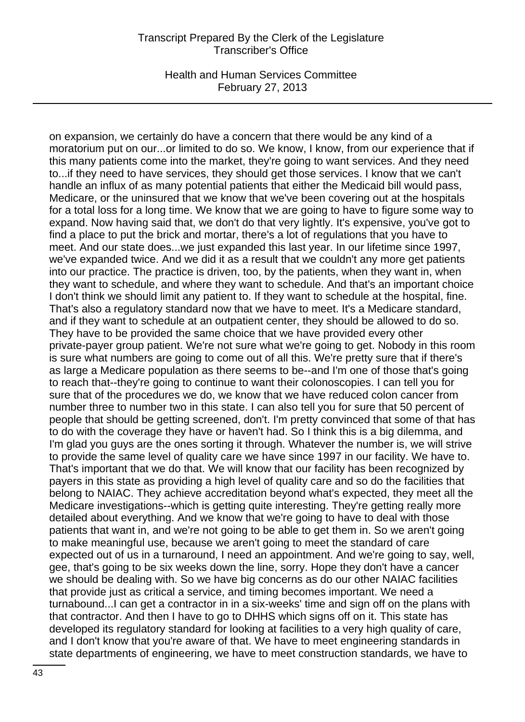Health and Human Services Committee February 27, 2013

on expansion, we certainly do have a concern that there would be any kind of a moratorium put on our...or limited to do so. We know, I know, from our experience that if this many patients come into the market, they're going to want services. And they need to...if they need to have services, they should get those services. I know that we can't handle an influx of as many potential patients that either the Medicaid bill would pass, Medicare, or the uninsured that we know that we've been covering out at the hospitals for a total loss for a long time. We know that we are going to have to figure some way to expand. Now having said that, we don't do that very lightly. It's expensive, you've got to find a place to put the brick and mortar, there's a lot of regulations that you have to meet. And our state does...we just expanded this last year. In our lifetime since 1997, we've expanded twice. And we did it as a result that we couldn't any more get patients into our practice. The practice is driven, too, by the patients, when they want in, when they want to schedule, and where they want to schedule. And that's an important choice I don't think we should limit any patient to. If they want to schedule at the hospital, fine. That's also a regulatory standard now that we have to meet. It's a Medicare standard, and if they want to schedule at an outpatient center, they should be allowed to do so. They have to be provided the same choice that we have provided every other private-payer group patient. We're not sure what we're going to get. Nobody in this room is sure what numbers are going to come out of all this. We're pretty sure that if there's as large a Medicare population as there seems to be--and I'm one of those that's going to reach that--they're going to continue to want their colonoscopies. I can tell you for sure that of the procedures we do, we know that we have reduced colon cancer from number three to number two in this state. I can also tell you for sure that 50 percent of people that should be getting screened, don't. I'm pretty convinced that some of that has to do with the coverage they have or haven't had. So I think this is a big dilemma, and I'm glad you guys are the ones sorting it through. Whatever the number is, we will strive to provide the same level of quality care we have since 1997 in our facility. We have to. That's important that we do that. We will know that our facility has been recognized by payers in this state as providing a high level of quality care and so do the facilities that belong to NAIAC. They achieve accreditation beyond what's expected, they meet all the Medicare investigations--which is getting quite interesting. They're getting really more detailed about everything. And we know that we're going to have to deal with those patients that want in, and we're not going to be able to get them in. So we aren't going to make meaningful use, because we aren't going to meet the standard of care expected out of us in a turnaround, I need an appointment. And we're going to say, well, gee, that's going to be six weeks down the line, sorry. Hope they don't have a cancer we should be dealing with. So we have big concerns as do our other NAIAC facilities that provide just as critical a service, and timing becomes important. We need a turnabound...I can get a contractor in in a six-weeks' time and sign off on the plans with that contractor. And then I have to go to DHHS which signs off on it. This state has developed its regulatory standard for looking at facilities to a very high quality of care, and I don't know that you're aware of that. We have to meet engineering standards in state departments of engineering, we have to meet construction standards, we have to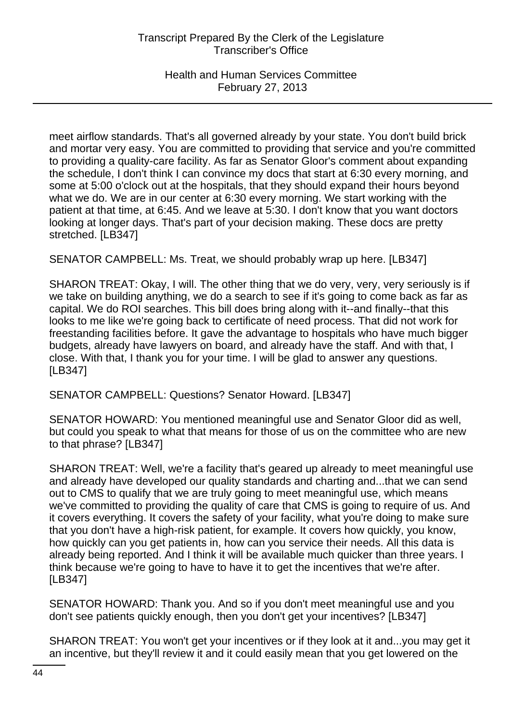Health and Human Services Committee February 27, 2013

meet airflow standards. That's all governed already by your state. You don't build brick and mortar very easy. You are committed to providing that service and you're committed to providing a quality-care facility. As far as Senator Gloor's comment about expanding the schedule, I don't think I can convince my docs that start at 6:30 every morning, and some at 5:00 o'clock out at the hospitals, that they should expand their hours beyond what we do. We are in our center at 6:30 every morning. We start working with the patient at that time, at 6:45. And we leave at 5:30. I don't know that you want doctors looking at longer days. That's part of your decision making. These docs are pretty stretched. [LB347]

SENATOR CAMPBELL: Ms. Treat, we should probably wrap up here. [LB347]

SHARON TREAT: Okay, I will. The other thing that we do very, very, very seriously is if we take on building anything, we do a search to see if it's going to come back as far as capital. We do ROI searches. This bill does bring along with it--and finally--that this looks to me like we're going back to certificate of need process. That did not work for freestanding facilities before. It gave the advantage to hospitals who have much bigger budgets, already have lawyers on board, and already have the staff. And with that, I close. With that, I thank you for your time. I will be glad to answer any questions. [LB347]

SENATOR CAMPBELL: Questions? Senator Howard. [LB347]

SENATOR HOWARD: You mentioned meaningful use and Senator Gloor did as well, but could you speak to what that means for those of us on the committee who are new to that phrase? [LB347]

SHARON TREAT: Well, we're a facility that's geared up already to meet meaningful use and already have developed our quality standards and charting and...that we can send out to CMS to qualify that we are truly going to meet meaningful use, which means we've committed to providing the quality of care that CMS is going to require of us. And it covers everything. It covers the safety of your facility, what you're doing to make sure that you don't have a high-risk patient, for example. It covers how quickly, you know, how quickly can you get patients in, how can you service their needs. All this data is already being reported. And I think it will be available much quicker than three years. I think because we're going to have to have it to get the incentives that we're after. [LB347]

SENATOR HOWARD: Thank you. And so if you don't meet meaningful use and you don't see patients quickly enough, then you don't get your incentives? [LB347]

SHARON TREAT: You won't get your incentives or if they look at it and...you may get it an incentive, but they'll review it and it could easily mean that you get lowered on the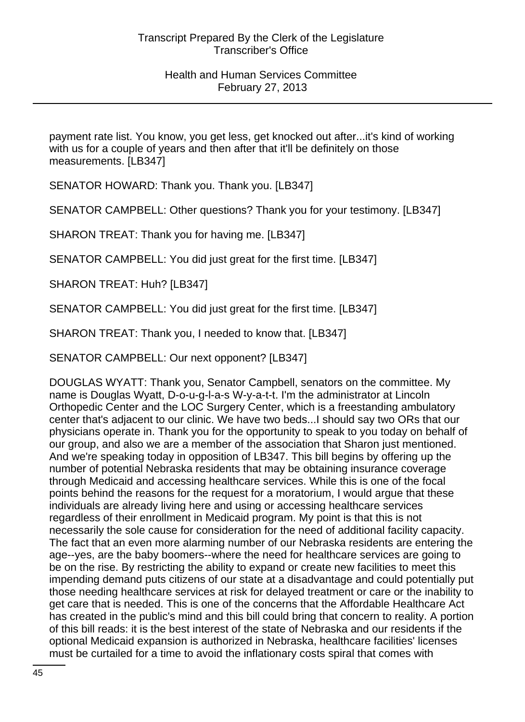payment rate list. You know, you get less, get knocked out after...it's kind of working with us for a couple of years and then after that it'll be definitely on those measurements. [LB347]

SENATOR HOWARD: Thank you. Thank you. [LB347]

SENATOR CAMPBELL: Other questions? Thank you for your testimony. [LB347]

SHARON TREAT: Thank you for having me. [LB347]

SENATOR CAMPBELL: You did just great for the first time. [LB347]

SHARON TREAT: Huh? [LB347]

SENATOR CAMPBELL: You did just great for the first time. [LB347]

SHARON TREAT: Thank you, I needed to know that. [LB347]

SENATOR CAMPBELL: Our next opponent? [LB347]

DOUGLAS WYATT: Thank you, Senator Campbell, senators on the committee. My name is Douglas Wyatt, D-o-u-g-l-a-s W-y-a-t-t. I'm the administrator at Lincoln Orthopedic Center and the LOC Surgery Center, which is a freestanding ambulatory center that's adjacent to our clinic. We have two beds...I should say two ORs that our physicians operate in. Thank you for the opportunity to speak to you today on behalf of our group, and also we are a member of the association that Sharon just mentioned. And we're speaking today in opposition of LB347. This bill begins by offering up the number of potential Nebraska residents that may be obtaining insurance coverage through Medicaid and accessing healthcare services. While this is one of the focal points behind the reasons for the request for a moratorium, I would argue that these individuals are already living here and using or accessing healthcare services regardless of their enrollment in Medicaid program. My point is that this is not necessarily the sole cause for consideration for the need of additional facility capacity. The fact that an even more alarming number of our Nebraska residents are entering the age--yes, are the baby boomers--where the need for healthcare services are going to be on the rise. By restricting the ability to expand or create new facilities to meet this impending demand puts citizens of our state at a disadvantage and could potentially put those needing healthcare services at risk for delayed treatment or care or the inability to get care that is needed. This is one of the concerns that the Affordable Healthcare Act has created in the public's mind and this bill could bring that concern to reality. A portion of this bill reads: it is the best interest of the state of Nebraska and our residents if the optional Medicaid expansion is authorized in Nebraska, healthcare facilities' licenses must be curtailed for a time to avoid the inflationary costs spiral that comes with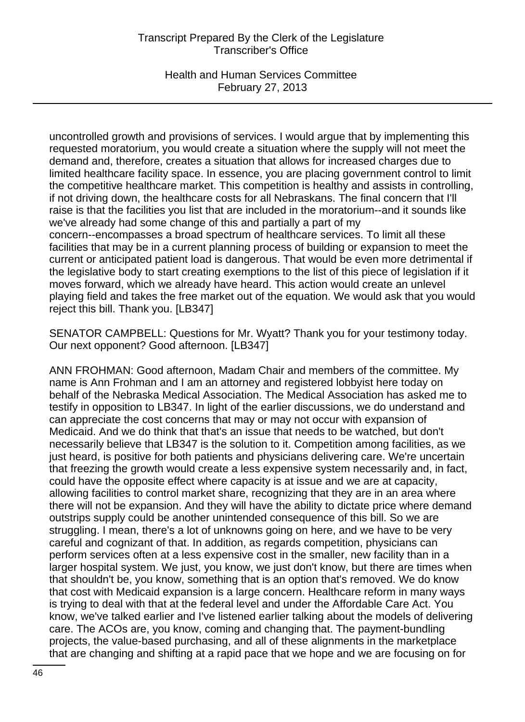Health and Human Services Committee February 27, 2013

uncontrolled growth and provisions of services. I would argue that by implementing this requested moratorium, you would create a situation where the supply will not meet the demand and, therefore, creates a situation that allows for increased charges due to limited healthcare facility space. In essence, you are placing government control to limit the competitive healthcare market. This competition is healthy and assists in controlling, if not driving down, the healthcare costs for all Nebraskans. The final concern that I'll raise is that the facilities you list that are included in the moratorium--and it sounds like we've already had some change of this and partially a part of my concern--encompasses a broad spectrum of healthcare services. To limit all these facilities that may be in a current planning process of building or expansion to meet the current or anticipated patient load is dangerous. That would be even more detrimental if the legislative body to start creating exemptions to the list of this piece of legislation if it moves forward, which we already have heard. This action would create an unlevel playing field and takes the free market out of the equation. We would ask that you would reject this bill. Thank you. [LB347]

SENATOR CAMPBELL: Questions for Mr. Wyatt? Thank you for your testimony today. Our next opponent? Good afternoon. [LB347]

ANN FROHMAN: Good afternoon, Madam Chair and members of the committee. My name is Ann Frohman and I am an attorney and registered lobbyist here today on behalf of the Nebraska Medical Association. The Medical Association has asked me to testify in opposition to LB347. In light of the earlier discussions, we do understand and can appreciate the cost concerns that may or may not occur with expansion of Medicaid. And we do think that that's an issue that needs to be watched, but don't necessarily believe that LB347 is the solution to it. Competition among facilities, as we just heard, is positive for both patients and physicians delivering care. We're uncertain that freezing the growth would create a less expensive system necessarily and, in fact, could have the opposite effect where capacity is at issue and we are at capacity, allowing facilities to control market share, recognizing that they are in an area where there will not be expansion. And they will have the ability to dictate price where demand outstrips supply could be another unintended consequence of this bill. So we are struggling. I mean, there's a lot of unknowns going on here, and we have to be very careful and cognizant of that. In addition, as regards competition, physicians can perform services often at a less expensive cost in the smaller, new facility than in a larger hospital system. We just, you know, we just don't know, but there are times when that shouldn't be, you know, something that is an option that's removed. We do know that cost with Medicaid expansion is a large concern. Healthcare reform in many ways is trying to deal with that at the federal level and under the Affordable Care Act. You know, we've talked earlier and I've listened earlier talking about the models of delivering care. The ACOs are, you know, coming and changing that. The payment-bundling projects, the value-based purchasing, and all of these alignments in the marketplace that are changing and shifting at a rapid pace that we hope and we are focusing on for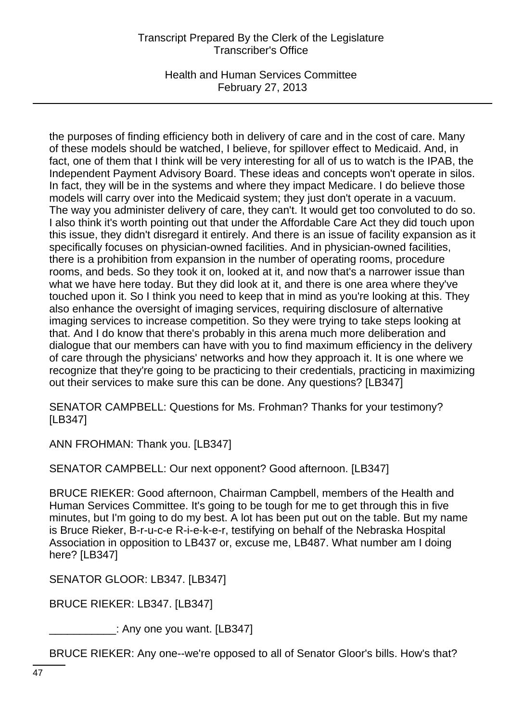Health and Human Services Committee February 27, 2013

the purposes of finding efficiency both in delivery of care and in the cost of care. Many of these models should be watched, I believe, for spillover effect to Medicaid. And, in fact, one of them that I think will be very interesting for all of us to watch is the IPAB, the Independent Payment Advisory Board. These ideas and concepts won't operate in silos. In fact, they will be in the systems and where they impact Medicare. I do believe those models will carry over into the Medicaid system; they just don't operate in a vacuum. The way you administer delivery of care, they can't. It would get too convoluted to do so. I also think it's worth pointing out that under the Affordable Care Act they did touch upon this issue, they didn't disregard it entirely. And there is an issue of facility expansion as it specifically focuses on physician-owned facilities. And in physician-owned facilities, there is a prohibition from expansion in the number of operating rooms, procedure rooms, and beds. So they took it on, looked at it, and now that's a narrower issue than what we have here today. But they did look at it, and there is one area where they've touched upon it. So I think you need to keep that in mind as you're looking at this. They also enhance the oversight of imaging services, requiring disclosure of alternative imaging services to increase competition. So they were trying to take steps looking at that. And I do know that there's probably in this arena much more deliberation and dialogue that our members can have with you to find maximum efficiency in the delivery of care through the physicians' networks and how they approach it. It is one where we recognize that they're going to be practicing to their credentials, practicing in maximizing out their services to make sure this can be done. Any questions? [LB347]

SENATOR CAMPBELL: Questions for Ms. Frohman? Thanks for your testimony? [LB347]

ANN FROHMAN: Thank you. [LB347]

SENATOR CAMPBELL: Our next opponent? Good afternoon. [LB347]

BRUCE RIEKER: Good afternoon, Chairman Campbell, members of the Health and Human Services Committee. It's going to be tough for me to get through this in five minutes, but I'm going to do my best. A lot has been put out on the table. But my name is Bruce Rieker, B-r-u-c-e R-i-e-k-e-r, testifying on behalf of the Nebraska Hospital Association in opposition to LB437 or, excuse me, LB487. What number am I doing here? [LB347]

SENATOR GLOOR: LB347. [LB347]

BRUCE RIEKER: LB347. [LB347]

 $\_$ : Any one you want. [LB347]

BRUCE RIEKER: Any one--we're opposed to all of Senator Gloor's bills. How's that?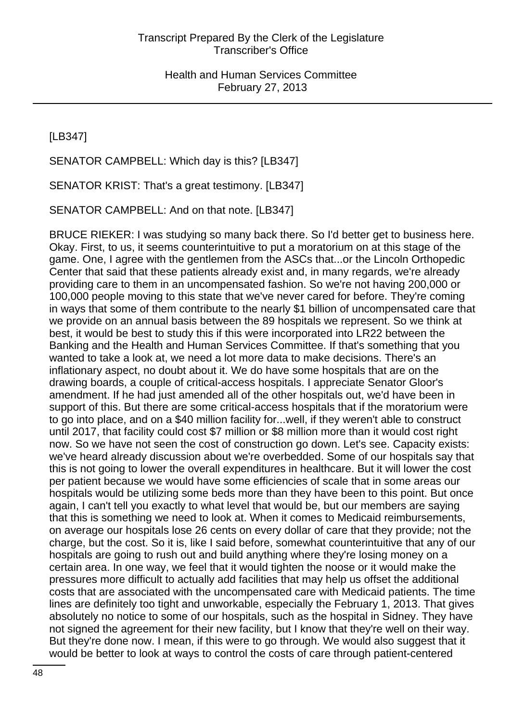[LB347]

SENATOR CAMPBELL: Which day is this? [LB347]

SENATOR KRIST: That's a great testimony. [LB347]

SENATOR CAMPBELL: And on that note. [LB347]

BRUCE RIEKER: I was studying so many back there. So I'd better get to business here. Okay. First, to us, it seems counterintuitive to put a moratorium on at this stage of the game. One, I agree with the gentlemen from the ASCs that...or the Lincoln Orthopedic Center that said that these patients already exist and, in many regards, we're already providing care to them in an uncompensated fashion. So we're not having 200,000 or 100,000 people moving to this state that we've never cared for before. They're coming in ways that some of them contribute to the nearly \$1 billion of uncompensated care that we provide on an annual basis between the 89 hospitals we represent. So we think at best, it would be best to study this if this were incorporated into LR22 between the Banking and the Health and Human Services Committee. If that's something that you wanted to take a look at, we need a lot more data to make decisions. There's an inflationary aspect, no doubt about it. We do have some hospitals that are on the drawing boards, a couple of critical-access hospitals. I appreciate Senator Gloor's amendment. If he had just amended all of the other hospitals out, we'd have been in support of this. But there are some critical-access hospitals that if the moratorium were to go into place, and on a \$40 million facility for...well, if they weren't able to construct until 2017, that facility could cost \$7 million or \$8 million more than it would cost right now. So we have not seen the cost of construction go down. Let's see. Capacity exists: we've heard already discussion about we're overbedded. Some of our hospitals say that this is not going to lower the overall expenditures in healthcare. But it will lower the cost per patient because we would have some efficiencies of scale that in some areas our hospitals would be utilizing some beds more than they have been to this point. But once again, I can't tell you exactly to what level that would be, but our members are saying that this is something we need to look at. When it comes to Medicaid reimbursements, on average our hospitals lose 26 cents on every dollar of care that they provide; not the charge, but the cost. So it is, like I said before, somewhat counterintuitive that any of our hospitals are going to rush out and build anything where they're losing money on a certain area. In one way, we feel that it would tighten the noose or it would make the pressures more difficult to actually add facilities that may help us offset the additional costs that are associated with the uncompensated care with Medicaid patients. The time lines are definitely too tight and unworkable, especially the February 1, 2013. That gives absolutely no notice to some of our hospitals, such as the hospital in Sidney. They have not signed the agreement for their new facility, but I know that they're well on their way. But they're done now. I mean, if this were to go through. We would also suggest that it would be better to look at ways to control the costs of care through patient-centered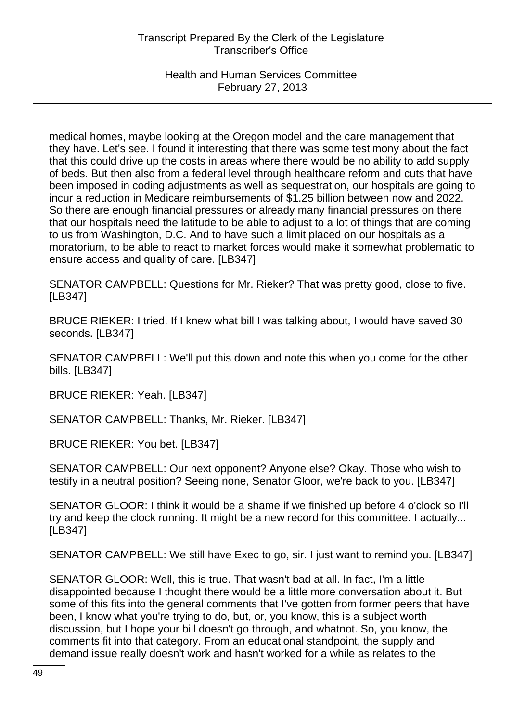## Health and Human Services Committee February 27, 2013

medical homes, maybe looking at the Oregon model and the care management that they have. Let's see. I found it interesting that there was some testimony about the fact that this could drive up the costs in areas where there would be no ability to add supply of beds. But then also from a federal level through healthcare reform and cuts that have been imposed in coding adjustments as well as sequestration, our hospitals are going to incur a reduction in Medicare reimbursements of \$1.25 billion between now and 2022. So there are enough financial pressures or already many financial pressures on there that our hospitals need the latitude to be able to adjust to a lot of things that are coming to us from Washington, D.C. And to have such a limit placed on our hospitals as a moratorium, to be able to react to market forces would make it somewhat problematic to ensure access and quality of care. [LB347]

SENATOR CAMPBELL: Questions for Mr. Rieker? That was pretty good, close to five. [LB347]

BRUCE RIEKER: I tried. If I knew what bill I was talking about, I would have saved 30 seconds. [LB347]

SENATOR CAMPBELL: We'll put this down and note this when you come for the other bills. [LB347]

BRUCE RIEKER: Yeah. [LB347]

SENATOR CAMPBELL: Thanks, Mr. Rieker. [LB347]

BRUCE RIEKER: You bet. [LB347]

SENATOR CAMPBELL: Our next opponent? Anyone else? Okay. Those who wish to testify in a neutral position? Seeing none, Senator Gloor, we're back to you. [LB347]

SENATOR GLOOR: I think it would be a shame if we finished up before 4 o'clock so I'll try and keep the clock running. It might be a new record for this committee. I actually... [LB347]

SENATOR CAMPBELL: We still have Exec to go, sir. I just want to remind you. [LB347]

SENATOR GLOOR: Well, this is true. That wasn't bad at all. In fact, I'm a little disappointed because I thought there would be a little more conversation about it. But some of this fits into the general comments that I've gotten from former peers that have been, I know what you're trying to do, but, or, you know, this is a subject worth discussion, but I hope your bill doesn't go through, and whatnot. So, you know, the comments fit into that category. From an educational standpoint, the supply and demand issue really doesn't work and hasn't worked for a while as relates to the